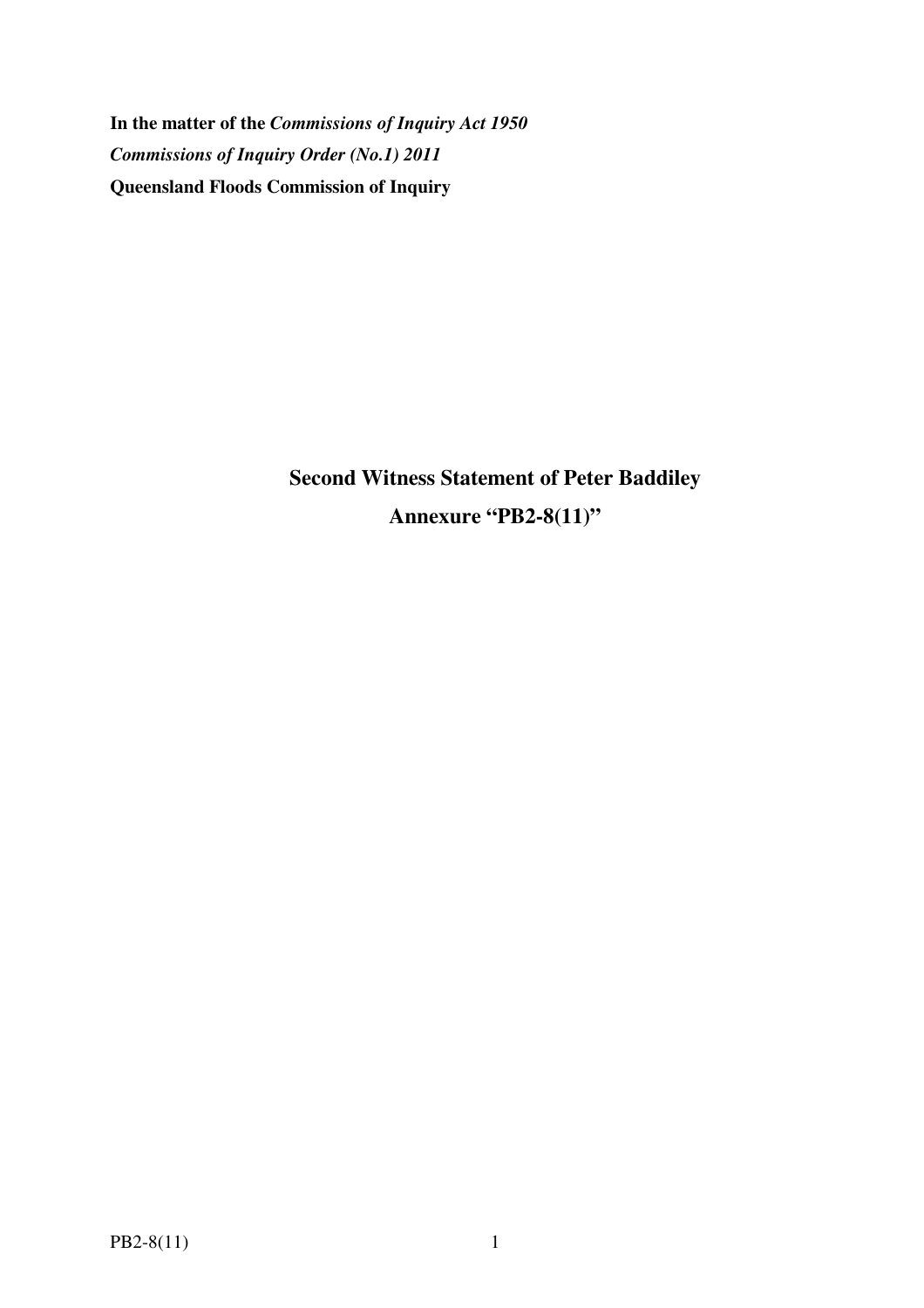**In the matter of the** *Commissions of Inquiry Act 1950 Commissions of Inquiry Order (No.1) 2011* **Queensland Floods Commission of Inquiry** 

> **Second Witness Statement of Peter Baddiley Annexure "PB2-8(11)"**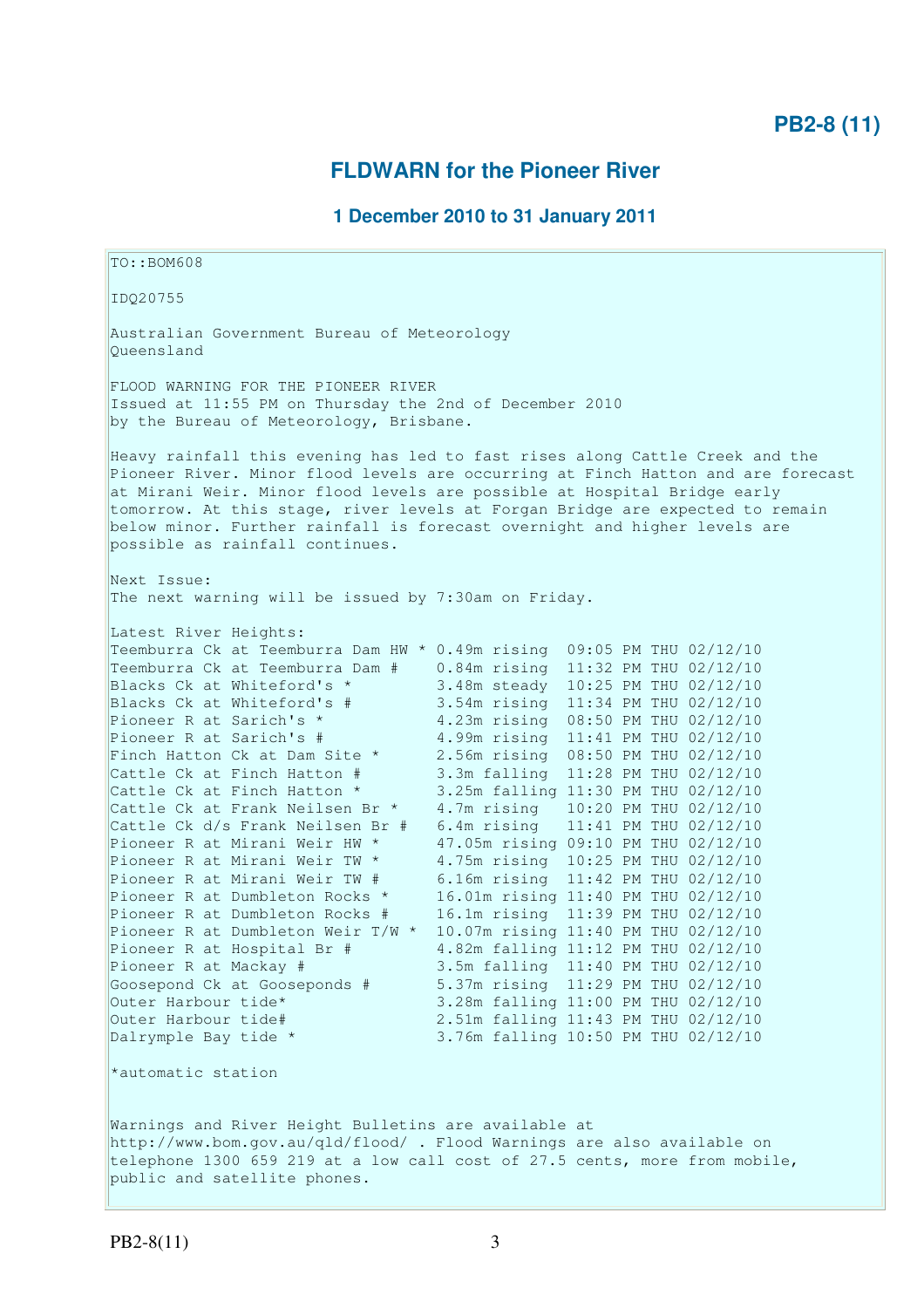## **FLDWARN for the Pioneer River**

## **1 December 2010 to 31 January 2011**

TO::BOM608 IDQ20755 Australian Government Bureau of Meteorology Queensland FLOOD WARNING FOR THE PIONEER RIVER Issued at 11:55 PM on Thursday the 2nd of December 2010 by the Bureau of Meteorology, Brisbane. Heavy rainfall this evening has led to fast rises along Cattle Creek and the Pioneer River. Minor flood levels are occurring at Finch Hatton and are forecast at Mirani Weir. Minor flood levels are possible at Hospital Bridge early tomorrow. At this stage, river levels at Forgan Bridge are expected to remain below minor. Further rainfall is forecast overnight and higher levels are possible as rainfall continues. Next Issue: The next warning will be issued by 7:30am on Friday. Latest River Heights: Teemburra Ck at Teemburra Dam HW \* 0.49m rising 09:05 PM THU 02/12/10<br>Teemburra Ck at Teemburra Dam # 0.84m rising 11:32 PM THU 02/12/10<br>Blacks Ck at Whiteford's \* 3.48m steady 10:25 PM THU 02/12/10 Teemburra Ck at Teemburra Dam # 0.84m rising 11:32 PM THU 02/12/10 Blacks Ck at Whiteford's \* 3.48m steady 10:25 PM THU 02/12/10 Blacks Ck at Whiteford's # 3.54m rising 11:34 PM THU 02/12/10 Pioneer R at Sarich's \* 4.23m rising 08:50 PM THU 02/12/10 Pioneer R at Sarich's # 4.99m rising 11:41 PM THU 02/12/10 Finch Hatton Ck at Dam Site \* 2.56m rising 08:50 PM THU 02/12/10 Cattle Ck at Finch Hatton # 3.3m falling 11:28 PM THU 02/12/10 Cattle Ck at Finch Hatton \* 3.25m falling 11:30 PM THU 02/12/10 Cattle Ck at Frank Neilsen Br \* 4.7m rising 10:20 PM THU 02/12/10 Cattle Ck d/s Frank Neilsen Br # 6.4m rising 11:41 PM THU 02/12/10 Pioneer R at Mirani Weir HW \* 47.05m rising 09:10 PM THU 02/12/10 Pioneer R at Mirani Weir TW \* 4.75m rising 10:25 PM THU 02/12/10 Pioneer R at Mirani Weir TW # 6.16m rising 11:42 PM THU 02/12/10 Pioneer R at Dumbleton Rocks \* 16.01m rising 11:40 PM THU 02/12/10 Pioneer R at Dumbleton Rocks # 16.1m rising 11:39 PM THU 02/12/10 Pioneer R at Dumbleton Weir T/W \* 10.07m rising 11:40 PM THU 02/12/10 Pioneer R at Hospital Br # 4.82m falling 11:12 PM THU 02/12/10 Pioneer R at Mackay # 3.5m falling 11:40 PM THU 02/12/10 Goosepond Ck at Gooseponds # 5.37m rising 11:29 PM THU 02/12/10 Outer Harbour tide\* 3.28m falling 11:00 PM THU 02/12/10 Outer Harbour tide# 2.51m falling 11:43 PM THU 02/12/10<br>Dalrymple Bay tide \* 3.76m falling 10:50 PM THU 02/12/10 3.76m falling 10:50 PM THU 02/12/10 \*automatic station Warnings and River Height Bulletins are available at http://www.bom.gov.au/qld/flood/ . Flood Warnings are also available on telephone 1300 659 219 at a low call cost of 27.5 cents, more from mobile, public and satellite phones.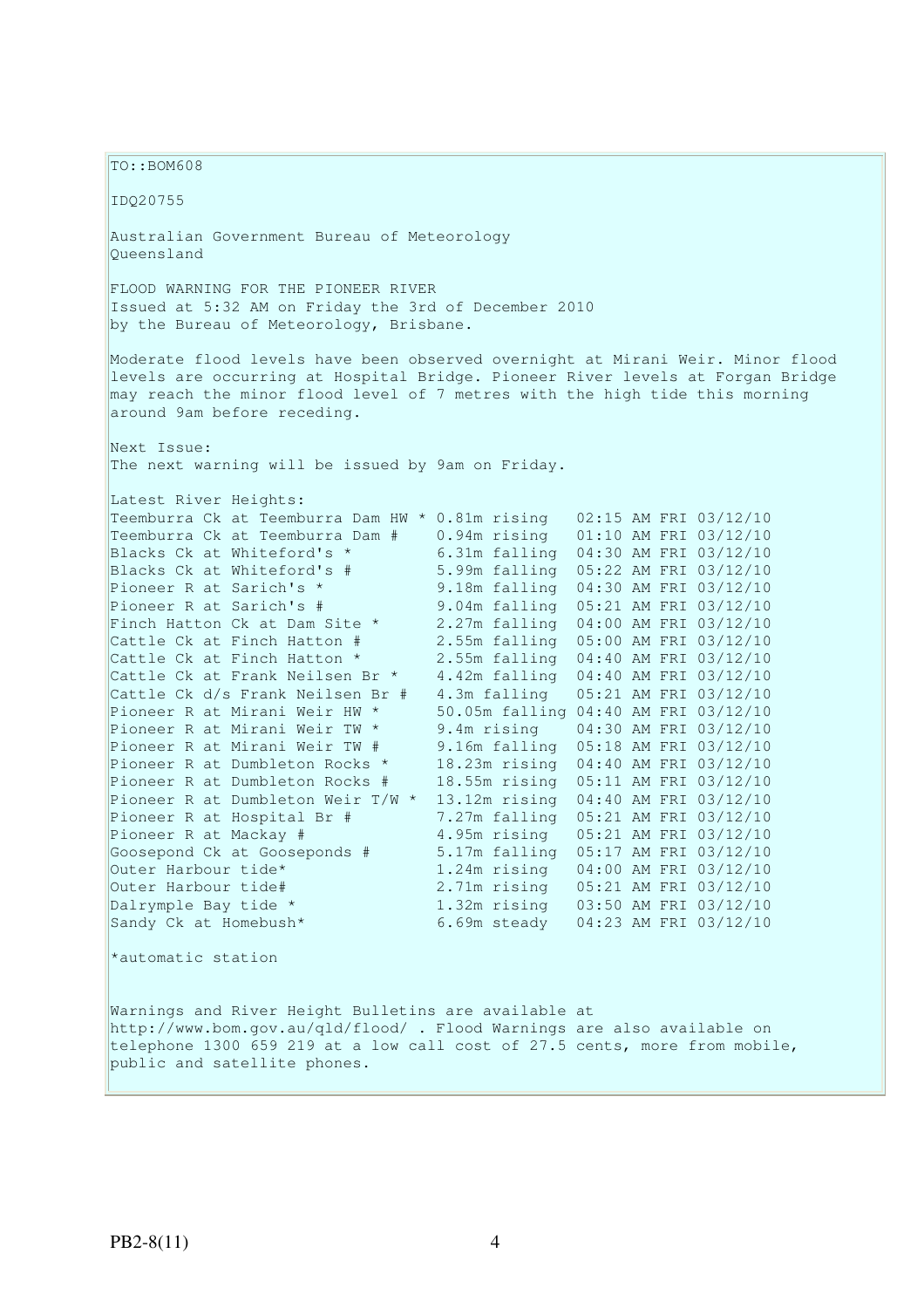TO::BOM608 IDQ20755 Australian Government Bureau of Meteorology Queensland FLOOD WARNING FOR THE PIONEER RIVER Issued at 5:32 AM on Friday the 3rd of December 2010 by the Bureau of Meteorology, Brisbane. Moderate flood levels have been observed overnight at Mirani Weir. Minor flood levels are occurring at Hospital Bridge. Pioneer River levels at Forgan Bridge may reach the minor flood level of 7 metres with the high tide this morning around 9am before receding. Next Issue: The next warning will be issued by 9am on Friday. Latest River Heights: Teemburra Ck at Teemburra Dam HW \* 0.81m rising 02:15 AM FRI 03/12/10 Teemburra Ck at Teemburra Dam # 0.94m rising 01:10 AM FRI 03/12/10 Blacks Ck at Whiteford's \* 6.31m falling 04:30 AM FRI 03/12/10 Blacks Ck at Whiteford's # 5.99m falling 05:22 AM FRI 03/12/10 Pioneer R at Sarich's \* 9.18m falling 04:30 AM FRI 03/12/10 Pioneer R at Sarich's # 9.04m falling 05:21 AM FRI 03/12/10 Finch Hatton Ck at Dam Site \* 2.27m falling 04:00 AM FRI 03/12/10 Cattle Ck at Finch Hatton # 2.55m falling 05:00 AM FRI 03/12/10 Cattle Ck at Finch Hatton \* 2.55m falling 04:40 AM FRI 03/12/10 Cattle Ck at Frank Neilsen Br \* 4.42m falling 04:40 AM FRI 03/12/10 Cattle Ck d/s Frank Neilsen Br # 4.3m falling 05:21 AM FRI 03/12/10 Pioneer R at Mirani Weir HW \* 50.05m falling 04:40 AM FRI 03/12/10 Pioneer R at Mirani Weir TW \* 9.4m rising 04:30 AM FRI 03/12/10 Pioneer R at Mirani Weir TW # 9.16m falling 05:18 AM FRI 03/12/10 Pioneer R at Dumbleton Rocks \* 18.23m rising 04:40 AM FRI 03/12/10 Pioneer R at Dumbleton Rocks # 18.55m rising 05:11 AM FRI 03/12/10 Pioneer R at Dumbleton Weir  $T/W * 13.12m$  rising 04:40 AM FRI 03/12/10<br>Pioneer R at Hospital Br # 7.27m falling 05:21 AM FRI 03/12/10 7.27m falling 05:21 AM FRI 03/12/10 Pioneer R at Mackay # 4.95m rising 05:21 AM FRI 03/12/10<br>
Goosepond Ck at Gooseponds # 5.17m falling 05:17 AM FRI 03/12/10<br>
Outer Harbour tide\* 1.24m rising 04:00 AM FRI 03/12/10 Goosepond Ck at Gooseponds # 5.17m falling 05:17 AM FRI 03/12/10 Outer Harbour tide\* 1.24m rising 04:00 AM FRI 03/12/10 Outer Harbour tide# 2.71m rising 05:21 AM FRI 03/12/10 Dalrymple Bay tide \* 1.32m rising 03:50 AM FRI 03/12/10 Sandy Ck at Homebush\* 6.69m steady 04:23 AM FRI 03/12/10 \*automatic station Warnings and River Height Bulletins are available at http://www.bom.gov.au/qld/flood/ . Flood Warnings are also available on telephone 1300 659 219 at a low call cost of 27.5 cents, more from mobile,

public and satellite phones.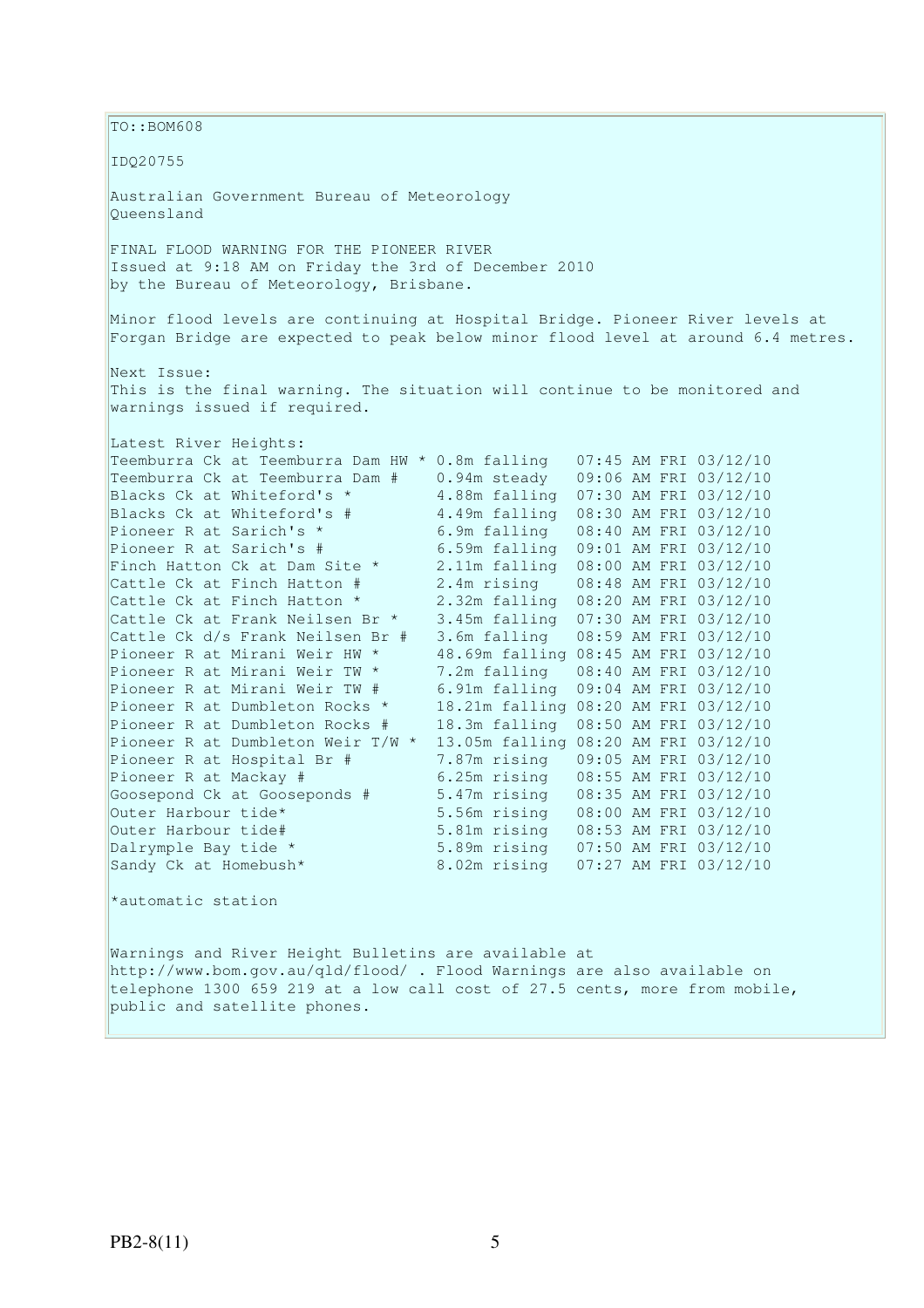TO::BOM608 IDQ20755 Australian Government Bureau of Meteorology Queensland FINAL FLOOD WARNING FOR THE PIONEER RIVER Issued at 9:18 AM on Friday the 3rd of December 2010 by the Bureau of Meteorology, Brisbane. Minor flood levels are continuing at Hospital Bridge. Pioneer River levels at Forgan Bridge are expected to peak below minor flood level at around 6.4 metres. Next Issue: This is the final warning. The situation will continue to be monitored and warnings issued if required. Latest River Heights: Teemburra Ck at Teemburra Dam HW \* 0.8m falling 07:45 AM FRI 03/12/10 Teemburra Ck at Teemburra Dam # 0.94m steady 09:06 AM FRI 03/12/10 Blacks Ck at Whiteford's \* 4.88m falling 07:30 AM FRI 03/12/10 Blacks Ck at Whiteford's # 4.49m falling 08:30 AM FRI 03/12/10 Pioneer R at Sarich's \* 6.9m falling 08:40 AM FRI 03/12/10 Pioneer R at Sarich's # 6.59m falling 09:01 AM FRI 03/12/10 Finch Hatton Ck at Dam Site \* 2.11m falling 08:00 AM FRI 03/12/10 Cattle Ck at Finch Hatton # 2.4m rising 08:48 AM FRI 03/12/10 Cattle Ck at Finch Hatton \* 2.32m falling 08:20 AM FRI 03/12/10 Cattle Ck at Frank Neilsen Br \* 3.45m falling 07:30 AM FRI 03/12/10 Cattle Ck d/s Frank Neilsen Br # 3.6m falling 08:59 AM FRI 03/12/10 Pioneer R at Mirani Weir HW \* 48.69m falling 08:45 AM FRI 03/12/10 Pioneer R at Mirani Weir TW \* 7.2m falling 08:40 AM FRI 03/12/10 Pioneer R at Mirani Weir TW # 6.91m falling 09:04 AM FRI 03/12/10 Pioneer R at Dumbleton Rocks \* 18.21m falling 08:20 AM FRI 03/12/10 Pioneer R at Dumbleton Rocks # 18.3m falling 08:50 AM FRI 03/12/10 Pioneer R at Dumbleton Weir T/W \* 13.05m falling 08:20 AM FRI 03/12/10 Pioneer R at Hospital Br # 7.87m rising 09:05 AM FRI 03/12/10 Pioneer R at Hospital Br # 7.87m rising 09:05 AM FRI 03/12/10<br>Pioneer R at Mackay # 6.25m rising 08:55 AM FRI 03/12/10 Goosepond Ck at Gooseponds # 5.47m rising 08:35 AM FRI 03/12/10 Outer Harbour tide\* 5.56m rising 08:00 AM FRI 03/12/10 Outer Harbour tide# 5.81m rising 08:53 AM FRI 03/12/10<br>Dalrymple Bay tide \* 5.89m rising 07:50 AM FRI 03/12/10 Dalrymple Bay tide \* 5.89m rising 07:50 AM FRI 03/12/10<br>Sandy Ck at Homebush\* 8.02m rising 07:27 AM FRI 03/12/10 8.02m rising 07:27 AM FRI 03/12/10 \*automatic station

Warnings and River Height Bulletins are available at http://www.bom.gov.au/qld/flood/ . Flood Warnings are also available on telephone 1300 659 219 at a low call cost of 27.5 cents, more from mobile, public and satellite phones.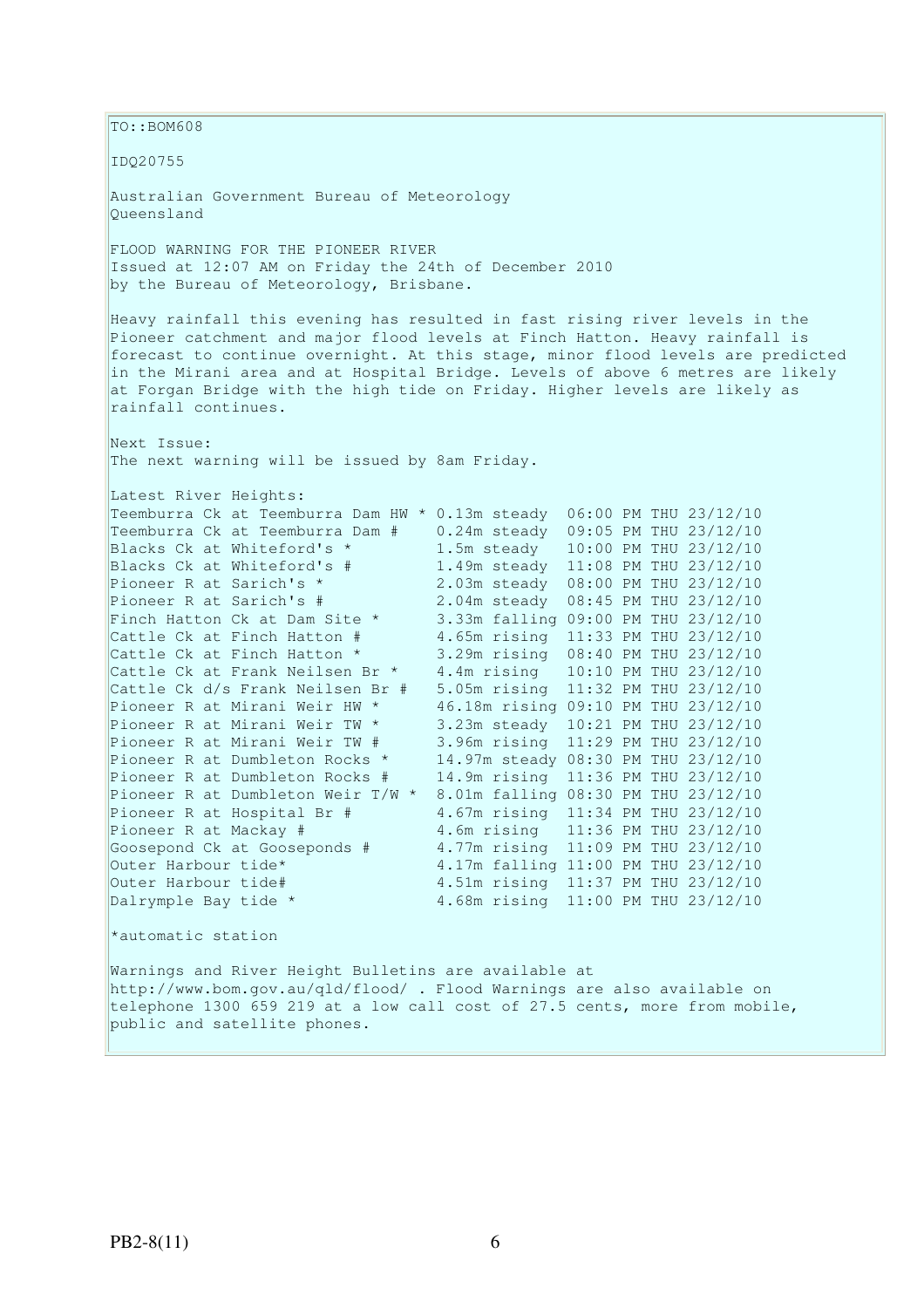TO::BOM608 IDQ20755 Australian Government Bureau of Meteorology Queensland FLOOD WARNING FOR THE PIONEER RIVER Issued at 12:07 AM on Friday the 24th of December 2010 by the Bureau of Meteorology, Brisbane. Heavy rainfall this evening has resulted in fast rising river levels in the Pioneer catchment and major flood levels at Finch Hatton. Heavy rainfall is forecast to continue overnight. At this stage, minor flood levels are predicted in the Mirani area and at Hospital Bridge. Levels of above 6 metres are likely at Forgan Bridge with the high tide on Friday. Higher levels are likely as rainfall continues. Next Issue: The next warning will be issued by 8am Friday. Latest River Heights:<br>Teemburra Ck at Teemburra Dam HW \* 0.13m steady 06:00 PM THU 23/12/10 Teemburra Ck at Teemburra Dam HW \* 0.13m steady 06:00 PM THU 23/12/10 Teemburra Ck at Teemburra Dam # 0.24m steady 09:05 PM THU 23/12/10 Blacks Ck at Whiteford's \* 1.5m steady 10:00 PM THU 23/12/10 Blacks Ck at Whiteford's # 1.49m steady 11:08 PM THU 23/12/10 Pioneer R at Sarich's \* 2.03m steady 08:00 PM THU 23/12/10 Pioneer R at Sarich's # 2.04m steady 08:45 PM THU 23/12/10 Finch Hatton Ck at Dam Site \* 3.33m falling 09:00 PM THU 23/12/10 Cattle Ck at Finch Hatton # 4.65m rising 11:33 PM THU 23/12/10 Cattle Ck at Finch Hatton \* 3.29m rising 08:40 PM THU 23/12/10 Cattle Ck at Frank Neilsen Br \* 4.4m rising 10:10 PM THU 23/12/10 Cattle Ck d/s Frank Neilsen Br # 5.05m rising 11:32 PM THU 23/12/10 Pioneer R at Mirani Weir HW \* 46.18m rising 09:10 PM THU 23/12/10 Pioneer R at Mirani Weir TW \* 3.23m steady 10:21 PM THU 23/12/10 Pioneer R at Mirani Weir TW # 3.96m rising 11:29 PM THU 23/12/10 Pioneer R at Dumbleton Rocks \* 14.97m steady 08:30 PM THU 23/12/10 Pioneer R at Dumbleton Rocks # 14.9m rising 11:36 PM THU 23/12/10 Pioneer R at Dumbleton Weir T/W \* 8.01m falling 08:30 PM THU 23/12/10 Pioneer R at Hospital Br # 4.67m rising 11:34 PM THU 23/12/10 Pioneer R at Hospital Br # 4.67m rising 11:34 PM THU 23/12/10<br>Pioneer R at Mackay # 4.6m rising 11:36 PM THU 23/12/10 Goosepond Ck at Gooseponds # 4.77m rising 11:09 PM THU 23/12/10<br>
Outer Harbour tide\* 4.17m falling 11:00 PM THU 23/12/10 4.17m falling 11:00 PM THU 23/12/10 Outer Harbour tide# 4.51m rising 11:37 PM THU 23/12/10 Dalrymple Bay tide \* 4.68m rising 11:00 PM THU 23/12/10 \*automatic station Warnings and River Height Bulletins are available at http://www.bom.gov.au/qld/flood/ . Flood Warnings are also available on telephone 1300 659 219 at a low call cost of 27.5 cents, more from mobile,

public and satellite phones.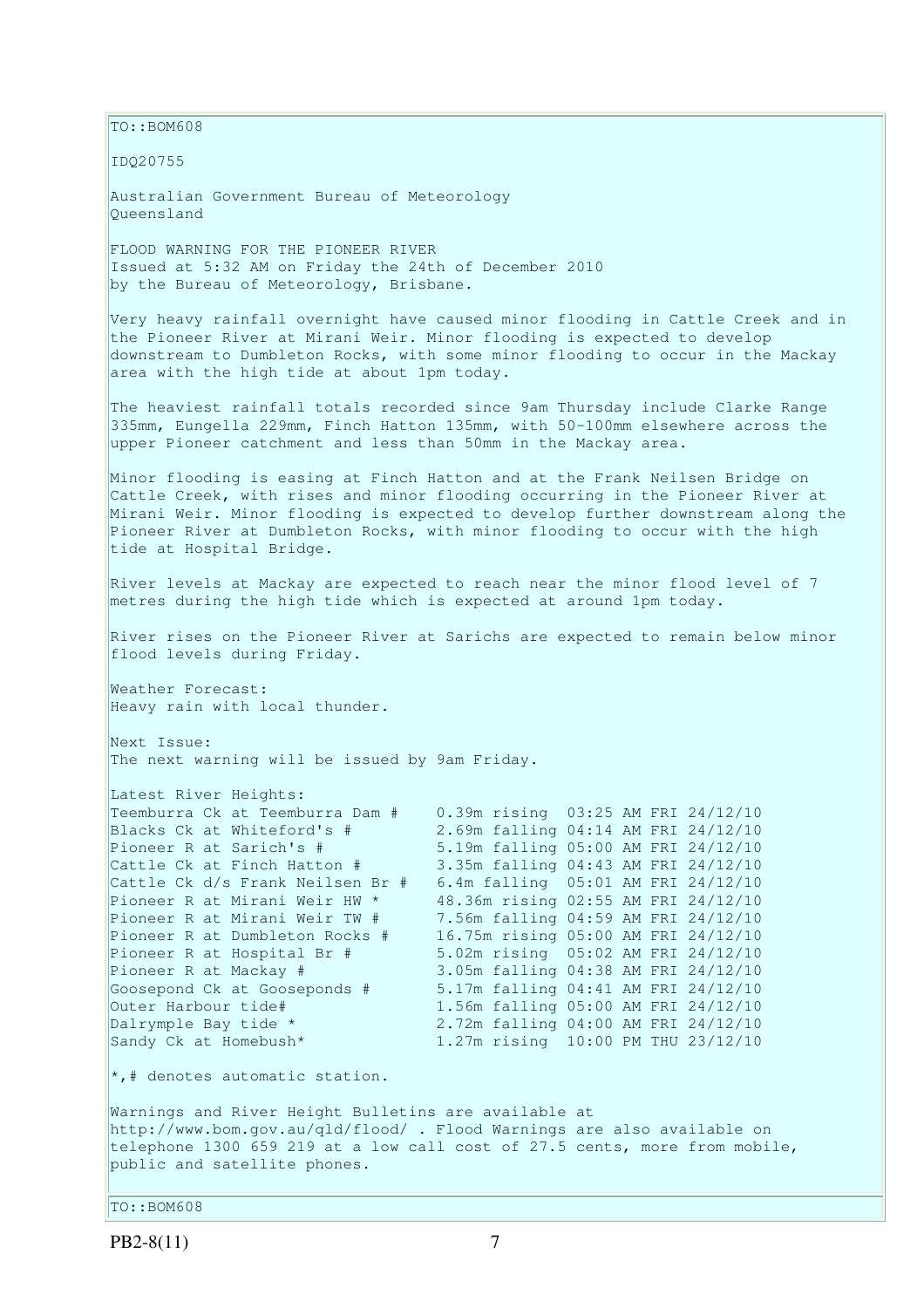TO::BOM608

IDQ20755

Australian Government Bureau of Meteorology Queensland

FLOOD WARNING FOR THE PIONEER RIVER Issued at 5:32 AM on Friday the 24th of December 2010 by the Bureau of Meteorology, Brisbane.

Very heavy rainfall overnight have caused minor flooding in Cattle Creek and in the Pioneer River at Mirani Weir. Minor flooding is expected to develop downstream to Dumbleton Rocks, with some minor flooding to occur in the Mackay area with the high tide at about 1pm today.

The heaviest rainfall totals recorded since 9am Thursday include Clarke Range 335mm, Eungella 229mm, Finch Hatton 135mm, with 50-100mm elsewhere across the upper Pioneer catchment and less than 50mm in the Mackay area.

Minor flooding is easing at Finch Hatton and at the Frank Neilsen Bridge on Cattle Creek, with rises and minor flooding occurring in the Pioneer River at Mirani Weir. Minor flooding is expected to develop further downstream along the Pioneer River at Dumbleton Rocks, with minor flooding to occur with the high tide at Hospital Bridge.

River levels at Mackay are expected to reach near the minor flood level of 7 metres during the high tide which is expected at around 1pm today.

River rises on the Pioneer River at Sarichs are expected to remain below minor flood levels during Friday.

Weather Forecast: Heavy rain with local thunder.

Next Issue: The next warning will be issued by 9am Friday.

| Latest River Heights:            |                                     |  |  |
|----------------------------------|-------------------------------------|--|--|
| Teemburra Ck at Teemburra Dam #  | 0.39m rising 03:25 AM FRI 24/12/10  |  |  |
| Blacks Ck at Whiteford's #       | 2.69m falling 04:14 AM FRI 24/12/10 |  |  |
| Pioneer R at Sarich's #          | 5.19m falling 05:00 AM FRI 24/12/10 |  |  |
| Cattle Ck at Finch Hatton #      | 3.35m falling 04:43 AM FRI 24/12/10 |  |  |
| Cattle Ck d/s Frank Neilsen Br # | 6.4m falling 05:01 AM FRI 24/12/10  |  |  |
| Pioneer R at Mirani Weir HW *    | 48.36m rising 02:55 AM FRI 24/12/10 |  |  |
| Pioneer R at Mirani Weir TW #    | 7.56m falling 04:59 AM FRI 24/12/10 |  |  |
| Pioneer R at Dumbleton Rocks #   | 16.75m rising 05:00 AM FRI 24/12/10 |  |  |
| Pioneer R at Hospital Br #       | 5.02m rising 05:02 AM FRI 24/12/10  |  |  |
| Pioneer R at Mackay #            | 3.05m falling 04:38 AM FRI 24/12/10 |  |  |
| Goosepond Ck at Gooseponds #     | 5.17m falling 04:41 AM FRI 24/12/10 |  |  |
| Outer Harbour tide#              | 1.56m falling 05:00 AM FRI 24/12/10 |  |  |
| Dalrymple Bay tide *             | 2.72m falling 04:00 AM FRI 24/12/10 |  |  |
| Sandy Ck at Homebush*            | 1.27m rising 10:00 PM THU 23/12/10  |  |  |

\*,# denotes automatic station.

Warnings and River Height Bulletins are available at http://www.bom.gov.au/qld/flood/ . Flood Warnings are also available on telephone 1300 659 219 at a low call cost of 27.5 cents, more from mobile, public and satellite phones.

TO::BOM608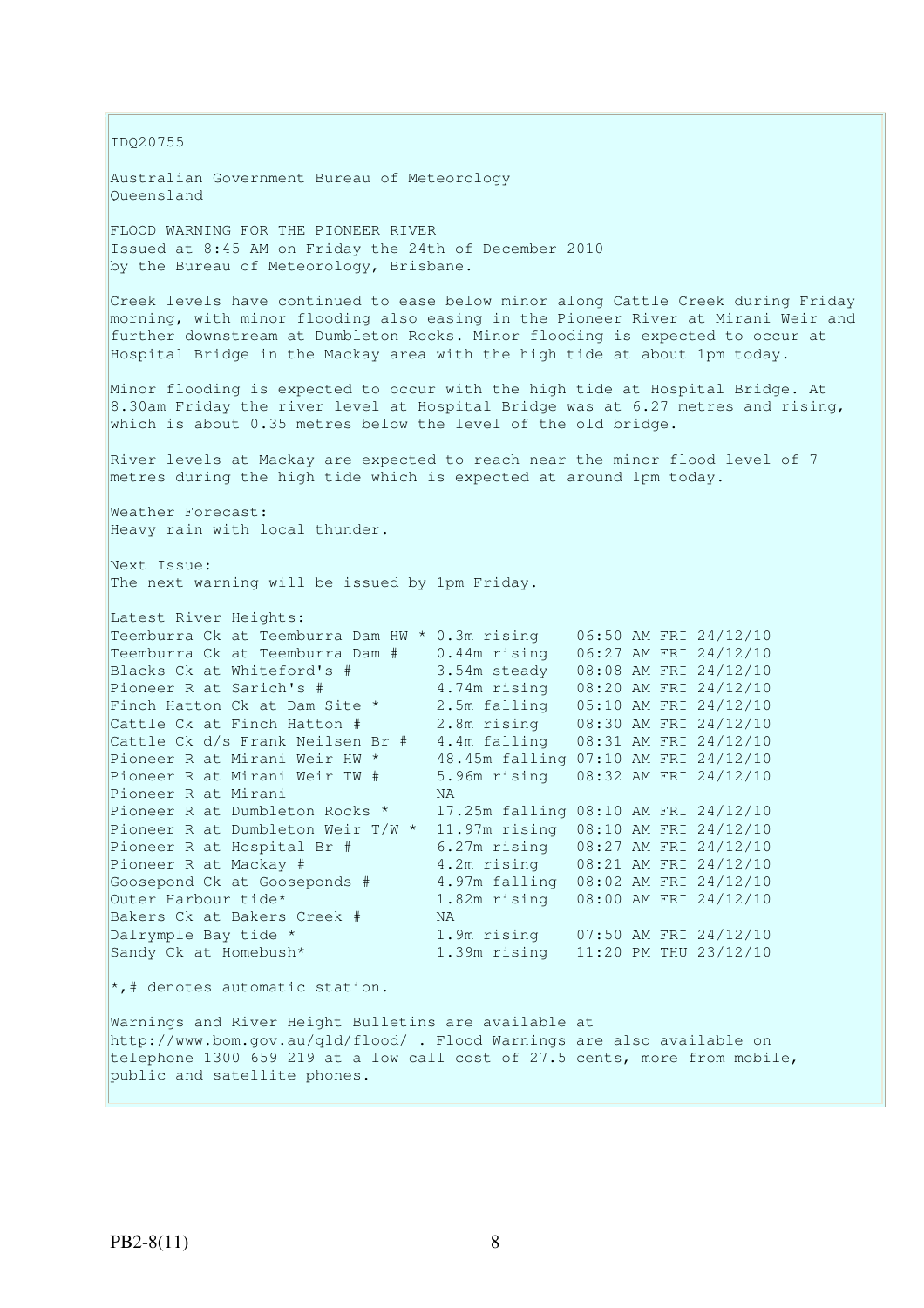IDQ20755

Australian Government Bureau of Meteorology Queensland

FLOOD WARNING FOR THE PIONEER RIVER Issued at 8:45 AM on Friday the 24th of December 2010 by the Bureau of Meteorology, Brisbane.

Creek levels have continued to ease below minor along Cattle Creek during Friday morning, with minor flooding also easing in the Pioneer River at Mirani Weir and further downstream at Dumbleton Rocks. Minor flooding is expected to occur at Hospital Bridge in the Mackay area with the high tide at about 1pm today.

Minor flooding is expected to occur with the high tide at Hospital Bridge. At 8.30am Friday the river level at Hospital Bridge was at 6.27 metres and rising, which is about 0.35 metres below the level of the old bridge.

River levels at Mackay are expected to reach near the minor flood level of 7 metres during the high tide which is expected at around 1pm today.

Weather Forecast: Heavy rain with local thunder.

Next Issue: The next warning will be issued by 1pm Friday.

| Latest River Heights:                          |                                      |  |                       |
|------------------------------------------------|--------------------------------------|--|-----------------------|
| Teemburra Ck at Teemburra Dam HW * 0.3m rising |                                      |  | 06:50 AM FRI 24/12/10 |
| Teemburra Ck at Teemburra Dam #                | $0.44m$ rising                       |  | 06:27 AM FRI 24/12/10 |
| Blacks Ck at Whiteford's #                     | 3.54m steady                         |  | 08:08 AM FRI 24/12/10 |
| Pioneer R at Sarich's #                        | 4.74m rising                         |  | 08:20 AM FRI 24/12/10 |
| Finch Hatton Ck at Dam Site *                  | 2.5m falling                         |  | 05:10 AM FRI 24/12/10 |
| Cattle Ck at Finch Hatton #                    | 2.8m rising                          |  | 08:30 AM FRI 24/12/10 |
| Cattle Ck d/s Frank Neilsen Br #               | 4.4m falling                         |  | 08:31 AM FRI 24/12/10 |
| Pioneer R at Mirani Weir HW *                  | 48.45m falling                       |  | 07:10 AM FRI 24/12/10 |
| Pioneer R at Mirani Weir TW #                  | 5.96m rising                         |  | 08:32 AM FRI 24/12/10 |
| Pioneer R at Mirani                            | NA.                                  |  |                       |
| Pioneer R at Dumbleton Rocks *                 | 17.25m falling 08:10 AM FRI 24/12/10 |  |                       |
| Pioneer R at Dumbleton Weir T/W *              | 11.97m rising                        |  | 08:10 AM FRI 24/12/10 |
| Pioneer R at Hospital Br #                     | 6.27m rising                         |  | 08:27 AM FRI 24/12/10 |
| Pioneer R at Mackay #                          | 4.2m rising                          |  | 08:21 AM FRI 24/12/10 |
| Goosepond Ck at Gooseponds #                   | 4.97m falling                        |  | 08:02 AM FRI 24/12/10 |
| Outer Harbour tide*                            | 1.82m rising                         |  | 08:00 AM FRI 24/12/10 |
| Bakers Ck at Bakers Creek #                    | NA.                                  |  |                       |
| Dalrymple Bay tide *                           | 1.9m rising                          |  | 07:50 AM FRI 24/12/10 |
| Sandy Ck at Homebush*                          | 1.39m rising                         |  | 11:20 PM THU 23/12/10 |

 $\star$ ,# denotes automatic station.

Warnings and River Height Bulletins are available at http://www.bom.gov.au/qld/flood/ . Flood Warnings are also available on telephone 1300 659 219 at a low call cost of 27.5 cents, more from mobile, public and satellite phones.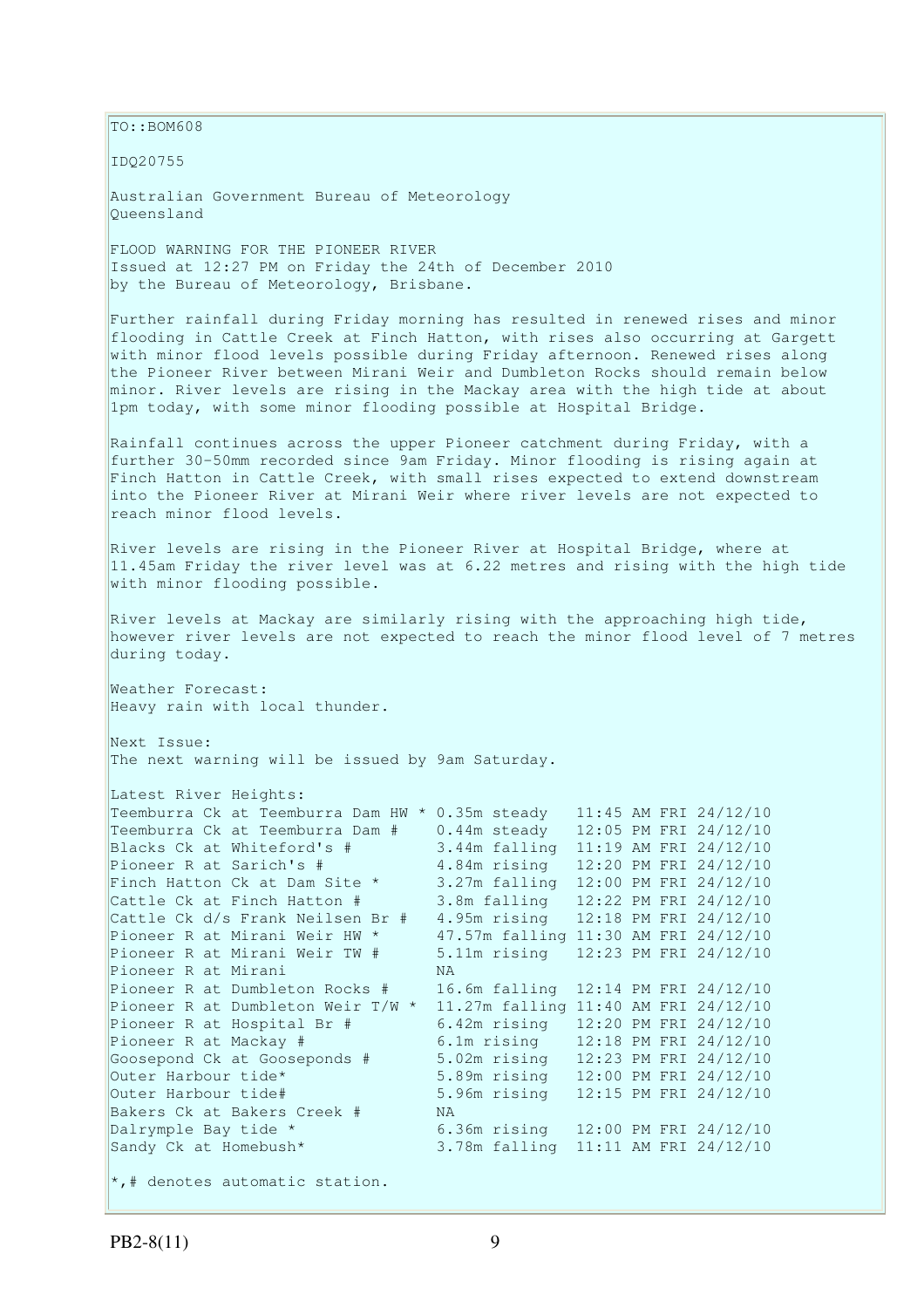TO::BOM608

IDQ20755

Australian Government Bureau of Meteorology Queensland

FLOOD WARNING FOR THE PIONEER RIVER Issued at 12:27 PM on Friday the 24th of December 2010 by the Bureau of Meteorology, Brisbane.

Further rainfall during Friday morning has resulted in renewed rises and minor flooding in Cattle Creek at Finch Hatton, with rises also occurring at Gargett with minor flood levels possible during Friday afternoon. Renewed rises along the Pioneer River between Mirani Weir and Dumbleton Rocks should remain below minor. River levels are rising in the Mackay area with the high tide at about 1pm today, with some minor flooding possible at Hospital Bridge.

Rainfall continues across the upper Pioneer catchment during Friday, with a further 30-50mm recorded since 9am Friday. Minor flooding is rising again at Finch Hatton in Cattle Creek, with small rises expected to extend downstream into the Pioneer River at Mirani Weir where river levels are not expected to reach minor flood levels.

River levels are rising in the Pioneer River at Hospital Bridge, where at 11.45am Friday the river level was at 6.22 metres and rising with the high tide with minor flooding possible.

River levels at Mackay are similarly rising with the approaching high tide, however river levels are not expected to reach the minor flood level of 7 metres during today.

Weather Forecast: Heavy rain with local thunder.

Next Issue: The next warning will be issued by 9am Saturday.

Latest River Heights: Teemburra Ck at Teemburra Dam HW \* 0.35m steady 11:45 AM FRI 24/12/10 Teemburra Ck at Teemburra Dam # 0.44m steady 12:05 PM FRI 24/12/10<br>Blacks Ck at Whiteford's # 3.44m falling 11:19 AM FRI 24/12/10 Blacks Ck at Whiteford's # 3.44m falling 11:19 AM FRI 24/12/10 Pioneer R at Sarich's # 4.84m rising 12:20 PM FRI 24/12/10 Finch Hatton Ck at Dam Site \* 3.27m falling 12:00 PM FRI 24/12/10 Cattle Ck at Finch Hatton # 3.8m falling 12:22 PM FRI 24/12/10 Cattle Ck d/s Frank Neilsen Br # 4.95m rising 12:18 PM FRI 24/12/10 Pioneer R at Mirani Weir HW  $\star$  47.57m falling 11:30 AM FRI 24/12/10 Pioneer R at Mirani Weir TW # 5.11m rising 12:23 PM FRI 24/12/10 Pioneer R at Mirani NA Pioneer R at Dumbleton Rocks # 16.6m falling 12:14 PM FRI 24/12/10 Pioneer R at Dumbleton Weir T/W \* 11.27m falling 11:40 AM FRI 24/12/10 Pioneer R at Hospital Br # 6.42m rising 12:20 PM FRI 24/12/10 Pioneer R at Mackay # 6.1m rising 12:18 PM FRI 24/12/10<br>Goosepond Ck at Gooseponds # 5.02m rising 12:23 PM FRI 24/12/10 5.02m rising 12:23 PM FRI 24/12/10 Outer Harbour tide\* 5.89m rising 12:00 PM FRI 24/12/10 Outer Harbour tide# 5.96m rising 12:15 PM FRI 24/12/10 Bakers Ck at Bakers Creek # NA Dalrymple Bay tide \* 6.36m rising 12:00 PM FRI 24/12/10 Sandy Ck at Homebush\* 3.78m falling 11:11 AM FRI 24/12/10

 $\star$ ,# denotes automatic station.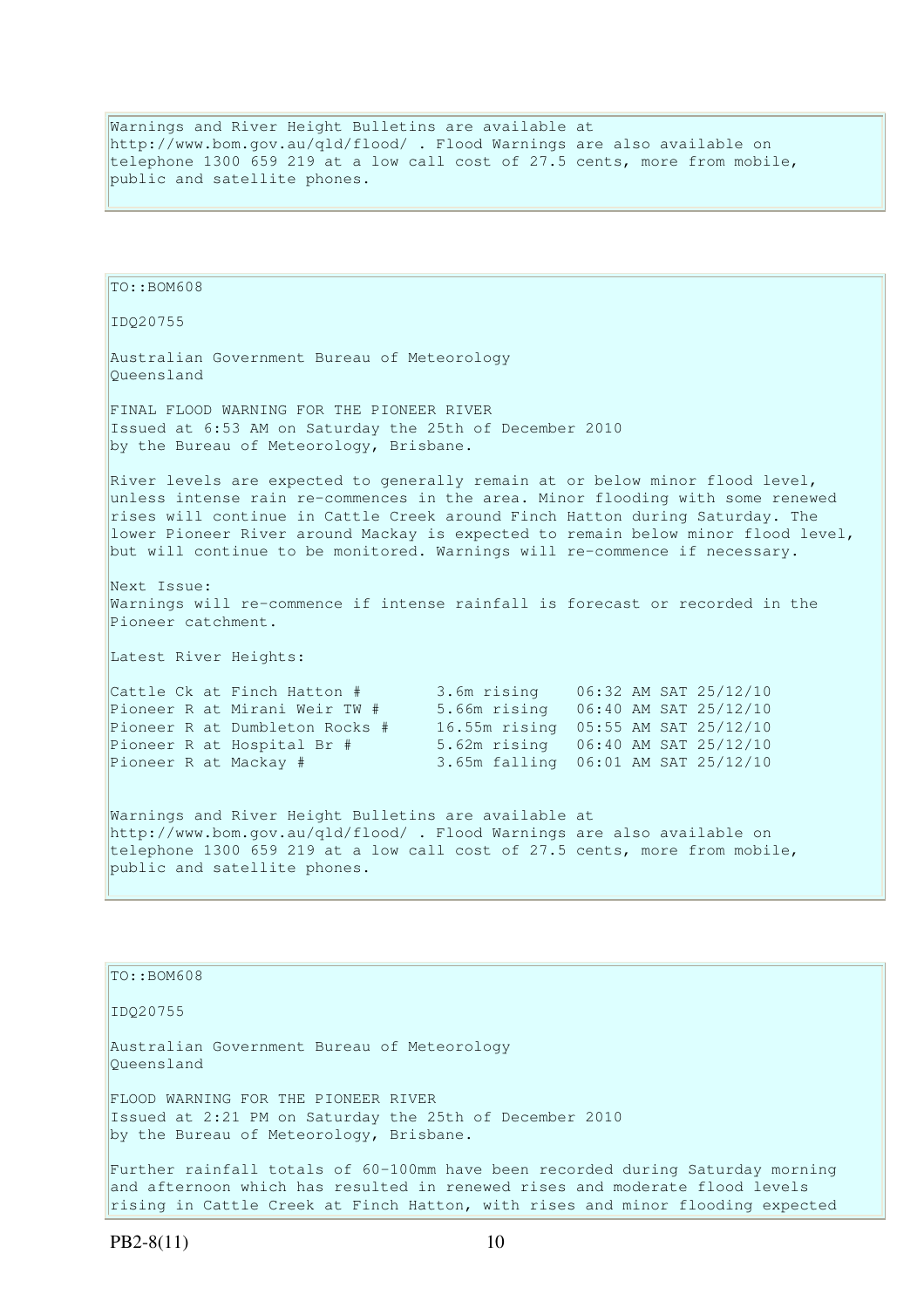Warnings and River Height Bulletins are available at http://www.bom.gov.au/qld/flood/ . Flood Warnings are also available on telephone 1300 659 219 at a low call cost of 27.5 cents, more from mobile, public and satellite phones.

```
TO::BOM608 
IDQ20755 
Australian Government Bureau of Meteorology 
Queensland 
FINAL FLOOD WARNING FOR THE PIONEER RIVER 
Issued at 6:53 AM on Saturday the 25th of December 2010 
by the Bureau of Meteorology, Brisbane.
River levels are expected to generally remain at or below minor flood level,
unless intense rain re-commences in the area. Minor flooding with some renewed 
rises will continue in Cattle Creek around Finch Hatton during Saturday. The 
lower Pioneer River around Mackay is expected to remain below minor flood level, 
but will continue to be monitored. Warnings will re-commence if necessary. 
Next Issue: 
Warnings will re-commence if intense rainfall is forecast or recorded in the 
Pioneer catchment. 
Latest River Heights: 
Cattle Ck at Finch Hatton # 3.6m rising 06:32 AM SAT 25/12/10 
Pioneer R at Mirani Weir TW # 5.66m rising 06:40 AM SAT 25/12/10 
Pioneer R at Dumbleton Rocks # 16.55m rising 05:55 AM SAT 25/12/10<br>Pioneer R at Hospital Br # 5.62m rising 06:40 AM SAT 25/12/10
                                    Pioneer R at Hospital Br # 5.62m rising 06:40 AM SAT 25/12/10 
Pioneer R at Mackay # 3.65m falling 06:01 AM SAT 25/12/10 
Warnings and River Height Bulletins are available at 
http://www.bom.gov.au/qld/flood/ . Flood Warnings are also available on 
telephone 1300 659 219 at a low call cost of 27.5 cents, more from mobile, 
public and satellite phones. 
TO::BOM608
```
IDQ20755

Australian Government Bureau of Meteorology Queensland

FLOOD WARNING FOR THE PIONEER RIVER Issued at 2:21 PM on Saturday the 25th of December 2010 by the Bureau of Meteorology, Brisbane.

Further rainfall totals of 60-100mm have been recorded during Saturday morning and afternoon which has resulted in renewed rises and moderate flood levels rising in Cattle Creek at Finch Hatton, with rises and minor flooding expected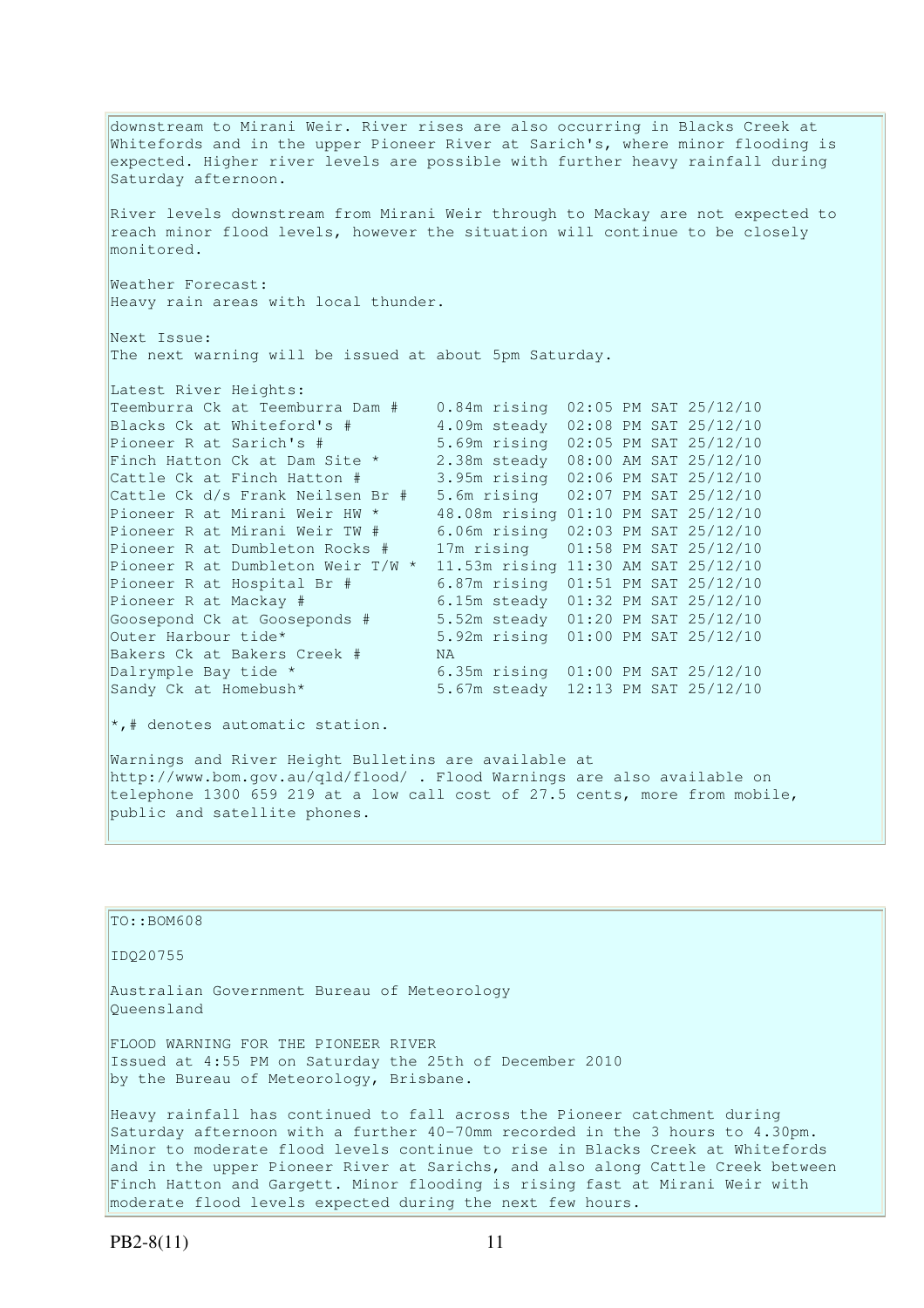downstream to Mirani Weir. River rises are also occurring in Blacks Creek at Whitefords and in the upper Pioneer River at Sarich's, where minor flooding is expected. Higher river levels are possible with further heavy rainfall during Saturday afternoon. River levels downstream from Mirani Weir through to Mackay are not expected to reach minor flood levels, however the situation will continue to be closely monitored. Weather Forecast: Heavy rain areas with local thunder. Next Issue: The next warning will be issued at about 5pm Saturday. Latest River Heights: Teemburra Ck at Teemburra Dam # 0.84m rising 02:05 PM SAT 25/12/10<br>Blacks Ck at Whiteford's # 4.09m steady 02:08 PM SAT 25/12/10 Blacks Ck at Whiteford's  $\#$  4.09m steady 02:08 PM SAT 25/12/10<br>Pioneer R at Sarich's  $\#$  5.69m rising 02:05 PM SAT 25/12/10 Pioneer R at Sarich's # 5.69m rising 02:05 PM SAT 25/12/10 Finch Hatton Ck at Dam Site \* 2.38m steady 08:00 AM SAT 25/12/10 Cattle Ck at Finch Hatton # 3.95m rising 02:06 PM SAT 25/12/10 Cattle Ck d/s Frank Neilsen Br # 5.6m rising 02:07 PM SAT 25/12/10 Pioneer R at Mirani Weir HW \* 48.08m rising 01:10 PM SAT 25/12/10 Pioneer R at Mirani Weir TW # 6.06m rising 02:03 PM SAT 25/12/10 Pioneer R at Dumbleton Rocks # 17m rising 01:58 PM SAT 25/12/10 Pioneer R at Dumbleton Weir T/W \* 11.53m rising 11:30 AM SAT 25/12/10<br>Pioneer R at Hospital Br # 6.87m rising 01:51 PM SAT 25/12/10 Pioneer R at Hospital Br # 6.87m rising 01:51 PM SAT 25/12/10 Pioneer R at Mackay # 6.15m steady 01:32 PM SAT 25/12/10 Goosepond Ck at Gooseponds # 5.52m steady 01:20 PM SAT 25/12/10 Outer Harbour tide\* 5.92m rising 01:00 PM SAT 25/12/10 Bakers Ck at Bakers Creek # NA Dalrymple Bay tide \* 6.35m rising 01:00 PM SAT 25/12/10 Sandy Ck at Homebush\* 5.67m steady 12:13 PM SAT 25/12/10  $\star$ ,# denotes automatic station. Warnings and River Height Bulletins are available at

http://www.bom.gov.au/qld/flood/ . Flood Warnings are also available on telephone 1300 659 219 at a low call cost of 27.5 cents, more from mobile, public and satellite phones.

TO::BOM608 IDQ20755 Australian Government Bureau of Meteorology Queensland FLOOD WARNING FOR THE PIONEER RIVER Issued at 4:55 PM on Saturday the 25th of December 2010 by the Bureau of Meteorology, Brisbane. Heavy rainfall has continued to fall across the Pioneer catchment during Saturday afternoon with a further 40-70mm recorded in the 3 hours to 4.30pm. Minor to moderate flood levels continue to rise in Blacks Creek at Whitefords and in the upper Pioneer River at Sarichs, and also along Cattle Creek between

Finch Hatton and Gargett. Minor flooding is rising fast at Mirani Weir with

moderate flood levels expected during the next few hours.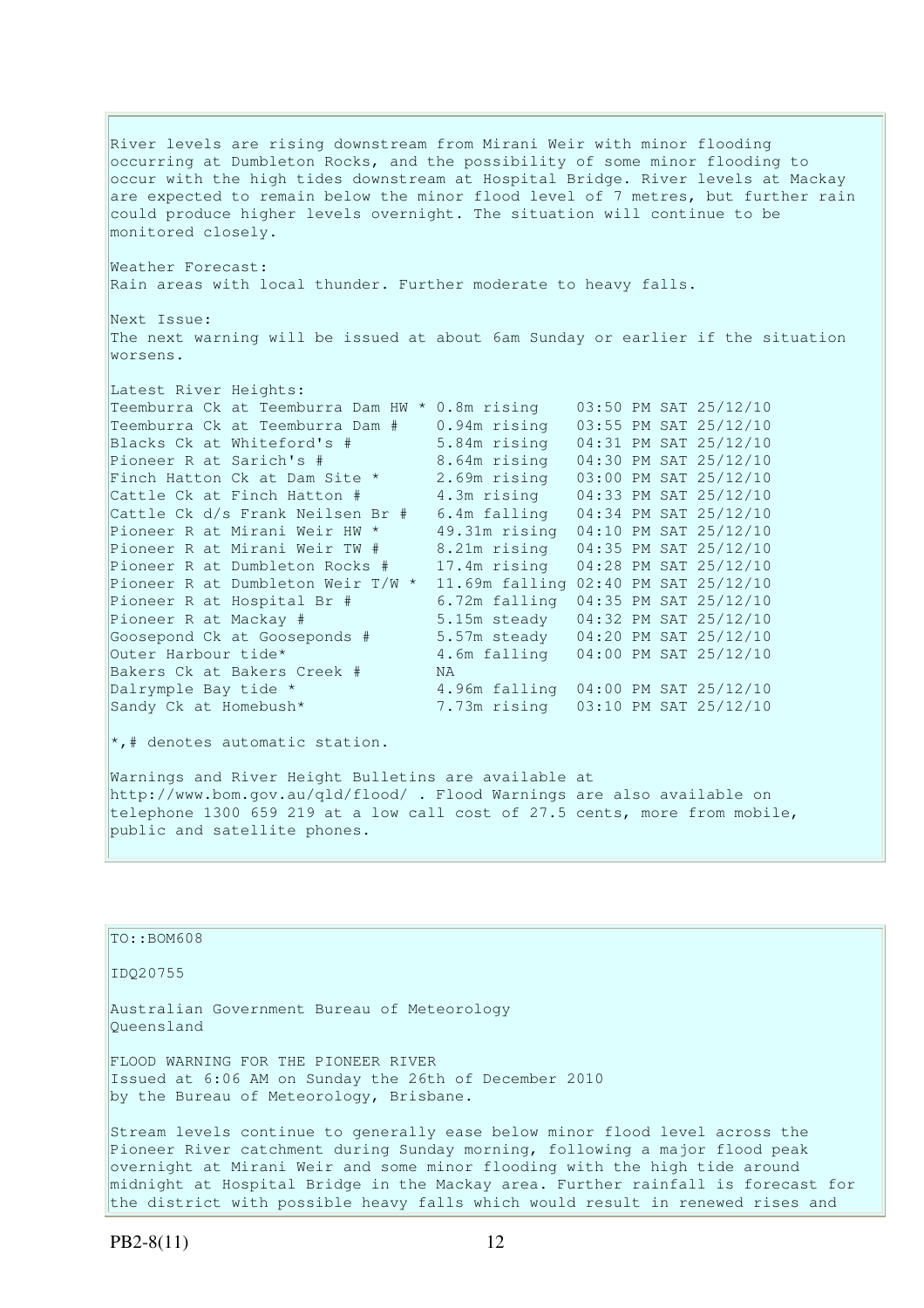River levels are rising downstream from Mirani Weir with minor flooding occurring at Dumbleton Rocks, and the possibility of some minor flooding to occur with the high tides downstream at Hospital Bridge. River levels at Mackay are expected to remain below the minor flood level of 7 metres, but further rain could produce higher levels overnight. The situation will continue to be monitored closely.

Weather Forecast: Rain areas with local thunder. Further moderate to heavy falls.

Next Issue: The next warning will be issued at about 6am Sunday or earlier if the situation worsens.

| Latest River Heights:               |                |  |                       |
|-------------------------------------|----------------|--|-----------------------|
| Teemburra Ck at Teemburra Dam HW *  | 0.8m rising    |  | 03:50 PM SAT 25/12/10 |
| Teemburra Ck at Teemburra Dam #     | 0.94m rising   |  | 03:55 PM SAT 25/12/10 |
| Blacks Ck at Whiteford's #          | 5.84m rising   |  | 04:31 PM SAT 25/12/10 |
| Pioneer R at Sarich's #             | 8.64m rising   |  | 04:30 PM SAT 25/12/10 |
| Finch Hatton Ck at Dam Site *       | 2.69m rising   |  | 03:00 PM SAT 25/12/10 |
| Cattle Ck at Finch Hatton #         | 4.3m rising    |  | 04:33 PM SAT 25/12/10 |
| Cattle Ck d/s Frank Neilsen Br #    | 6.4m falling   |  | 04:34 PM SAT 25/12/10 |
| Pioneer R at Mirani Weir HW *       | 49.31m rising  |  | 04:10 PM SAT 25/12/10 |
| Pioneer R at Mirani Weir TW #       | 8.21m rising   |  | 04:35 PM SAT 25/12/10 |
| Pioneer R at Dumbleton Rocks #      | 17.4m rising   |  | 04:28 PM SAT 25/12/10 |
| Pioneer R at Dumbleton Weir $T/W$ * | 11.69m falling |  | 02:40 PM SAT 25/12/10 |
| Pioneer R at Hospital Br #          | 6.72m falling  |  | 04:35 PM SAT 25/12/10 |
| Pioneer R at Mackay #               | 5.15m steady   |  | 04:32 PM SAT 25/12/10 |
| Goosepond Ck at Gooseponds #        | 5.57m steady   |  | 04:20 PM SAT 25/12/10 |
| Outer Harbour tide*                 | 4.6m falling   |  | 04:00 PM SAT 25/12/10 |
| Bakers Ck at Bakers Creek #         | NA.            |  |                       |
| Dalrymple Bay tide *                | 4.96m falling  |  | 04:00 PM SAT 25/12/10 |
| Sandy Ck at Homebush*               | 7.73m rising   |  | 03:10 PM SAT 25/12/10 |

 $\star$ ,# denotes automatic station.

Warnings and River Height Bulletins are available at http://www.bom.gov.au/qld/flood/ . Flood Warnings are also available on telephone 1300 659 219 at a low call cost of 27.5 cents, more from mobile, public and satellite phones.

| TO::BOM608                                                                                                                                                                                                                               |
|------------------------------------------------------------------------------------------------------------------------------------------------------------------------------------------------------------------------------------------|
| ID020755                                                                                                                                                                                                                                 |
| Australian Government Bureau of Meteorology<br>Oueensland                                                                                                                                                                                |
| FLOOD WARNING FOR THE PIONEER RIVER<br>Issued at 6:06 AM on Sunday the 26th of December 2010<br>by the Bureau of Meteorology, Brisbane.                                                                                                  |
| Stream levels continue to generally ease below minor flood level across the<br>Pioneer River catchment during Sunday morning, following a major flood peak<br>overnight at Mirani Weir and some minor flooding with the high tide around |

midnight at Hospital Bridge in the Mackay area. Further rainfall is forecast for the district with possible heavy falls which would result in renewed rises and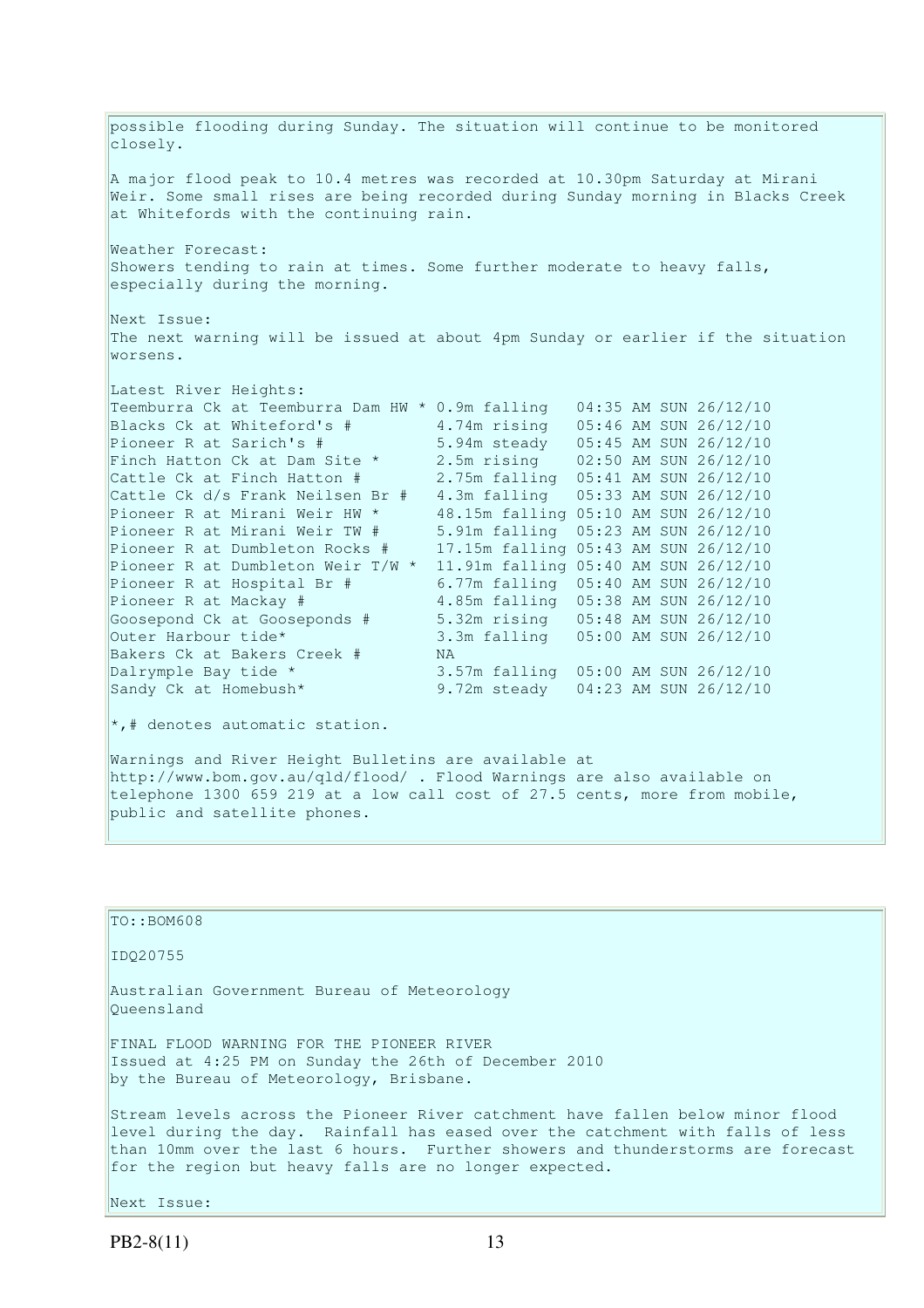possible flooding during Sunday. The situation will continue to be monitored closely. A major flood peak to 10.4 metres was recorded at 10.30pm Saturday at Mirani Weir. Some small rises are being recorded during Sunday morning in Blacks Creek at Whitefords with the continuing rain. Weather Forecast: Showers tending to rain at times. Some further moderate to heavy falls, especially during the morning. Next Issue: The next warning will be issued at about 4pm Sunday or earlier if the situation worsens. Latest River Heights: Teemburra Ck at Teemburra Dam HW \* 0.9m falling 04:35 AM SUN 26/12/10 Blacks Ck at Whiteford's # 4.74m rising 05:46 AM SUN 26/12/10 Pioneer R at Sarich's # 5.94m steady 05:45 AM SUN 26/12/10 Finch Hatton Ck at Dam Site \* 2.5m rising 02:50 AM SUN 26/12/10 Cattle Ck at Finch Hatton # 2.75m falling 05:41 AM SUN 26/12/10 Cattle Ck d/s Frank Neilsen Br # 4.3m falling 05:33 AM SUN 26/12/10 Pioneer R at Mirani Weir HW \* 48.15m falling 05:10 AM SUN 26/12/10 Pioneer R at Mirani Weir TW # 5.91m falling 05:23 AM SUN 26/12/10 Pioneer R at Dumbleton Rocks # 17.15m falling 05:43 AM SUN 26/12/10 Pioneer R at Dumbleton Weir  $T/W * 11.91m$  falling 05:40 AM SUN 26/12/10<br>Pioneer R at Hospital Br #6.77m falling 05:40 AM SUN 26/12/10 Pioneer R at Hospital Br # 6.77m falling 05:40 AM SUN 26/12/10 Pioneer R at Mackay # 4.85m falling 05:38 AM SUN 26/12/10 Goosepond Ck at Gooseponds # 5.32m rising 05:48 AM SUN 26/12/10 Outer Harbour tide\* 3.3m falling 05:00 AM SUN 26/12/10 Bakers Ck at Bakers Creek # NA Dalrymple Bay tide \*  $3.57m$  falling  $05:00$  AM SUN 26/12/10<br>Sandy Ck at Homebush\* 9.72m steady  $04:23$  AM SUN 26/12/10 9.72m steady 04:23 AM SUN 26/12/10  $\star$ ,# denotes automatic station.

Warnings and River Height Bulletins are available at http://www.bom.gov.au/qld/flood/ . Flood Warnings are also available on telephone 1300 659 219 at a low call cost of 27.5 cents, more from mobile, public and satellite phones.

| TO::BOM608                                                                                                                                                                                                                                                                                                    |
|---------------------------------------------------------------------------------------------------------------------------------------------------------------------------------------------------------------------------------------------------------------------------------------------------------------|
| ID020755                                                                                                                                                                                                                                                                                                      |
| Australian Government Bureau of Meteorology<br>Oueensland                                                                                                                                                                                                                                                     |
| FINAL FLOOD WARNING FOR THE PIONEER RIVER<br>Issued at 4:25 PM on Sunday the 26th of December 2010<br>by the Bureau of Meteorology, Brisbane.                                                                                                                                                                 |
| Stream levels across the Pioneer River catchment have fallen below minor flood<br>level during the day. Rainfall has eased over the catchment with falls of less<br>than 10mm over the last 6 hours. Further showers and thunderstorms are forecast<br>for the region but heavy falls are no longer expected. |

Next Issue: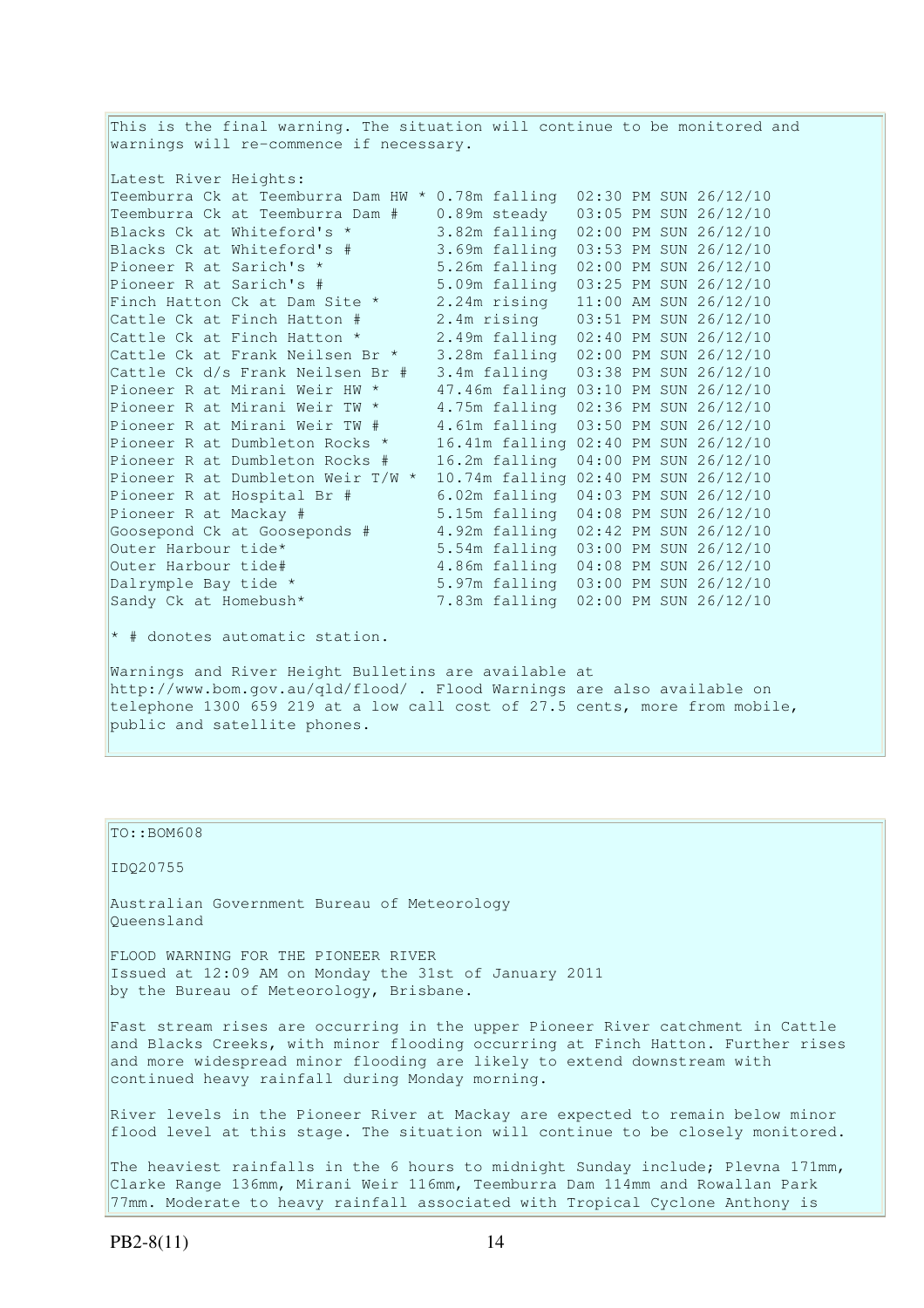This is the final warning. The situation will continue to be monitored and warnings will re-commence if necessary. Latest River Heights: Teemburra Ck at Teemburra Dam HW \* 0.78m falling 02:30 PM SUN 26/12/10 Teemburra Ck at Teemburra Dam # 0.89m steady 03:05 PM SUN 26/12/10 Blacks Ck at Whiteford's \* 3.82m falling 02:00 PM SUN 26/12/10 Blacks Ck at Whiteford's # 3.69m falling 03:53 PM SUN 26/12/10 Pioneer R at Sarich's \* 5.26m falling 02:00 PM SUN 26/12/10 Pioneer R at Sarich's # 5.09m falling 03:25 PM SUN 26/12/10 Finch Hatton Ck at Dam Site  $\star$  2.24m rising 11:00 AM SUN 26/12/10 Cattle Ck at Finch Hatton # 2.4m rising 03:51 PM SUN 26/12/10 Cattle Ck at Finch Hatton \* 2.49m falling 02:40 PM SUN 26/12/10 Cattle Ck at Frank Neilsen Br \* 3.28m falling 02:00 PM SUN 26/12/10 Cattle Ck d/s Frank Neilsen Br # 3.4m falling 03:38 PM SUN 26/12/10 Pioneer R at Mirani Weir HW \* 47.46m falling 03:10 PM SUN 26/12/10 Pioneer R at Mirani Weir TW \* 4.75m falling 02:36 PM SUN 26/12/10 Pioneer R at Mirani Weir TW # 4.61m falling 03:50 PM SUN 26/12/10 Pioneer R at Dumbleton Rocks \* 16.41m falling 02:40 PM SUN 26/12/10 Pioneer R at Dumbleton Rocks # 16.2m falling 04:00 PM SUN 26/12/10 Pioneer R at Dumbleton Weir T/W \* 10.74m falling 02:40 PM SUN 26/12/10 Pioneer R at Hospital Br # 6.02m falling 04:03 PM SUN 26/12/10 Pioneer R at Mackay # 5.15m falling 04:08 PM SUN 26/12/10 Goosepond Ck at Gooseponds # 4.92m falling 02:42 PM SUN 26/12/10 Outer Harbour tide\* 5.54m falling 03:00 PM SUN 26/12/10 Outer Harbour tide# 4.86m falling 04:08 PM SUN 26/12/10 Dalrymple Bay tide \* 5.97m falling 03:00 PM SUN 26/12/10 Sandy Ck at Homebush\* 7.83m falling 02:00 PM SUN 26/12/10 \* # donotes automatic station. Warnings and River Height Bulletins are available at

http://www.bom.gov.au/qld/flood/ . Flood Warnings are also available on telephone 1300 659 219 at a low call cost of 27.5 cents, more from mobile, public and satellite phones.

TO::BOM608

IDQ20755

Australian Government Bureau of Meteorology Queensland

FLOOD WARNING FOR THE PIONEER RIVER Issued at 12:09 AM on Monday the 31st of January 2011 by the Bureau of Meteorology, Brisbane.

Fast stream rises are occurring in the upper Pioneer River catchment in Cattle and Blacks Creeks, with minor flooding occurring at Finch Hatton. Further rises and more widespread minor flooding are likely to extend downstream with continued heavy rainfall during Monday morning.

River levels in the Pioneer River at Mackay are expected to remain below minor flood level at this stage. The situation will continue to be closely monitored.

The heaviest rainfalls in the 6 hours to midnight Sunday include; Plevna 171mm, Clarke Range 136mm, Mirani Weir 116mm, Teemburra Dam 114mm and Rowallan Park 77mm. Moderate to heavy rainfall associated with Tropical Cyclone Anthony is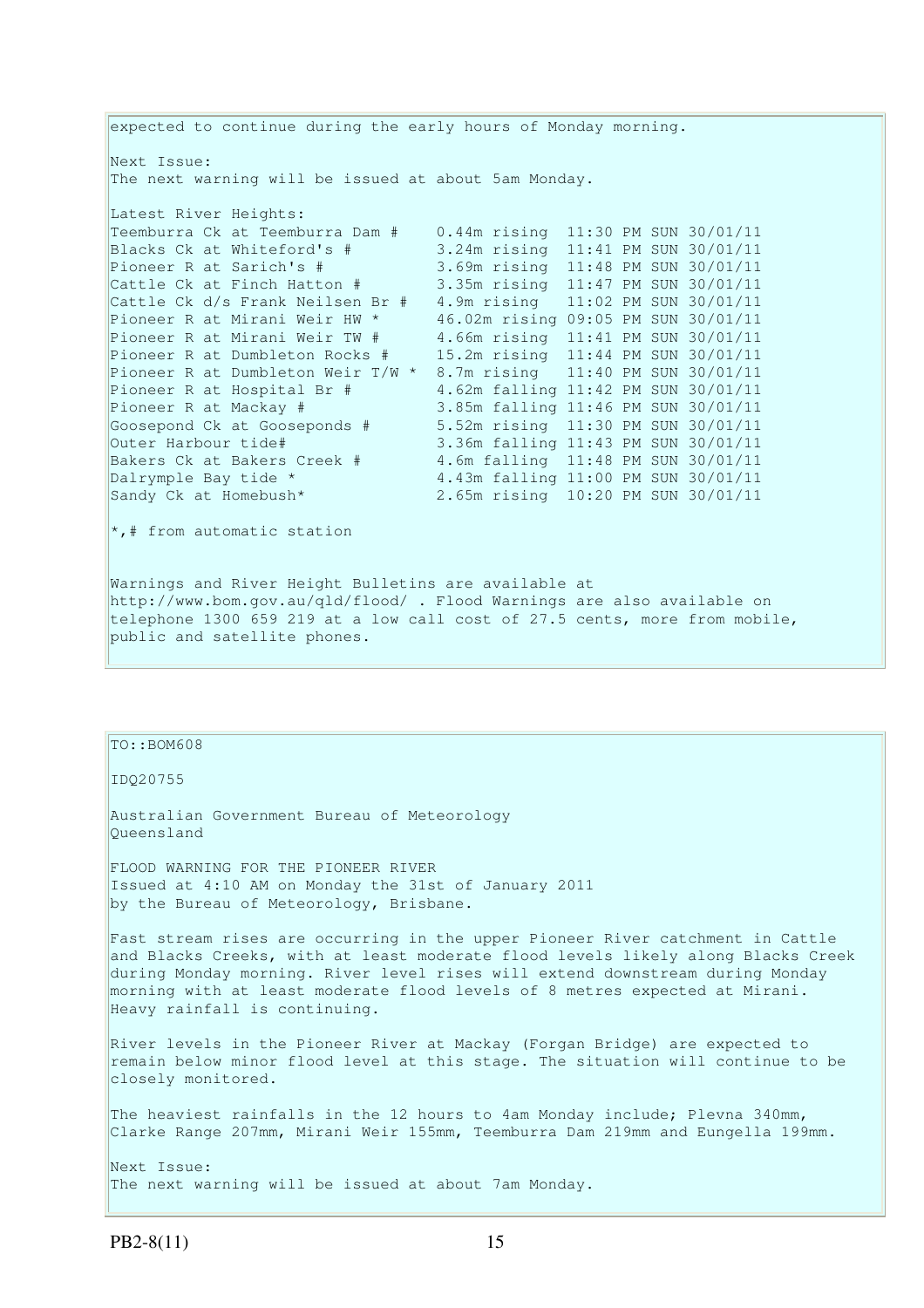expected to continue during the early hours of Monday morning. Next Issue: The next warning will be issued at about 5am Monday. Latest River Heights: Teemburra Ck at Teemburra Dam # 0.44m rising 11:30 PM SUN 30/01/11 Blacks Ck at Whiteford's # 3.24m rising 11:41 PM SUN 30/01/11<br>Pioneer R at Sarich's # 3.69m rising 11:48 PM SUN 30/01/11 Pioneer R at Sarich's # 3.69m rising 11:48 PM SUN 30/01/11 Cattle Ck at Finch Hatton # 3.35m rising 11:47 PM SUN 30/01/11 Cattle Ck d/s Frank Neilsen Br # 4.9m rising 11:02 PM SUN 30/01/11 Pioneer R at Mirani Weir HW \* 46.02m rising 09:05 PM SUN 30/01/11 Pioneer R at Mirani Weir TW # 4.66m rising 11:41 PM SUN 30/01/11 Pioneer R at Dumbleton Rocks # 15.2m rising 11:44 PM SUN 30/01/11 Pioneer R at Dumbleton Weir T/W \* 8.7m rising 11:40 PM SUN 30/01/11 Pioneer R at Hospital Br  $\#$  4.62m falling 11:42 PM SUN 30/01/11 Pioneer R at Mackay # 3.85m falling 11:46 PM SUN 30/01/11 Goosepond Ck at Gooseponds # 5.52m rising 11:30 PM SUN 30/01/11 Outer Harbour tide# 3.36m falling 11:43 PM SUN 30/01/11<br>Bakers Ck at Bakers Creek # 4.6m falling 11:48 PM SUN 30/01/11 Bakers Ck at Bakers Creek # 4.6m falling 11:48 PM SUN 30/01/11<br>
Dalrymple Bay tide \* 4.43m falling 11:00 PM SUN 30/01/11<br>
2.65m rising 10:20 PM SUN 30/01/11 4.43m falling 11:00 PM SUN 30/01/11 Sandy Ck at Homebush\* 2.65m rising 10:20 PM SUN 30/01/11  $\star$ ,# from automatic station

Warnings and River Height Bulletins are available at http://www.bom.gov.au/qld/flood/ . Flood Warnings are also available on telephone 1300 659 219 at a low call cost of 27.5 cents, more from mobile, public and satellite phones.

## $TO::BOM608$

IDQ20755

Australian Government Bureau of Meteorology Queensland

FLOOD WARNING FOR THE PIONEER RIVER Issued at 4:10 AM on Monday the 31st of January 2011 by the Bureau of Meteorology, Brisbane.

Fast stream rises are occurring in the upper Pioneer River catchment in Cattle and Blacks Creeks, with at least moderate flood levels likely along Blacks Creek during Monday morning. River level rises will extend downstream during Monday morning with at least moderate flood levels of 8 metres expected at Mirani. Heavy rainfall is continuing.

River levels in the Pioneer River at Mackay (Forgan Bridge) are expected to remain below minor flood level at this stage. The situation will continue to be closely monitored.

The heaviest rainfalls in the 12 hours to 4am Monday include; Plevna 340mm, Clarke Range 207mm, Mirani Weir 155mm, Teemburra Dam 219mm and Eungella 199mm.

Next Issue: The next warning will be issued at about 7am Monday.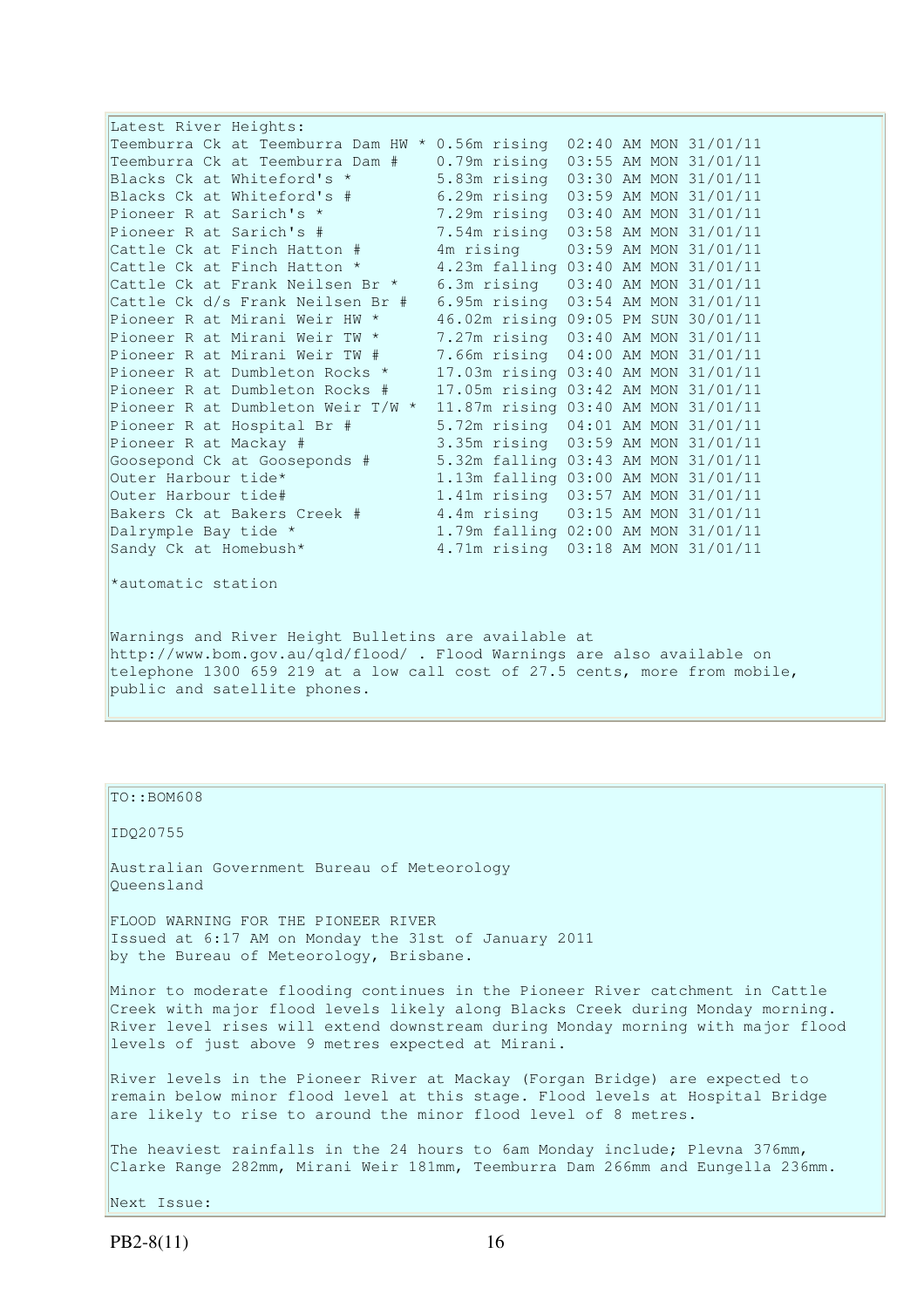| Latest River Heights:                                                   |                                     |  |                       |
|-------------------------------------------------------------------------|-------------------------------------|--|-----------------------|
| Teemburra Ck at Teemburra Dam HW * 0.56m rising                         |                                     |  | 02:40 AM MON 31/01/11 |
| Teemburra Ck at Teemburra Dam #                                         | 0.79m rising                        |  | 03:55 AM MON 31/01/11 |
| Blacks Ck at Whiteford's *                                              | 5.83m rising                        |  | 03:30 AM MON 31/01/11 |
| Blacks Ck at Whiteford's #                                              | 6.29m rising                        |  | 03:59 AM MON 31/01/11 |
| Pioneer R at Sarich's *                                                 | 7.29m rising 03:40 AM MON 31/01/11  |  |                       |
| Pioneer R at Sarich's #                                                 | 7.54m rising 03:58 AM MON 31/01/11  |  |                       |
| Cattle Ck at Finch Hatton #                                             | 4m rising                           |  | 03:59 AM MON 31/01/11 |
| Cattle Ck at Finch Hatton *                                             | 4.23m falling 03:40 AM MON 31/01/11 |  |                       |
| Cattle Ck at Frank Neilsen Br *                                         | 6.3m rising                         |  | 03:40 AM MON 31/01/11 |
| Cattle Ck d/s Frank Neilsen Br #                                        | 6.95m rising                        |  | 03:54 AM MON 31/01/11 |
| Pioneer R at Mirani Weir HW *                                           | 46.02m rising 09:05 PM SUN 30/01/11 |  |                       |
| Pioneer R at Mirani Weir TW *                                           | 7.27m rising 03:40 AM MON 31/01/11  |  |                       |
| Pioneer R at Mirani Weir TW #                                           | 7.66m rising                        |  | 04:00 AM MON 31/01/11 |
| Pioneer R at Dumbleton Rocks *                                          | 17.03m rising 03:40 AM MON 31/01/11 |  |                       |
| Pioneer R at Dumbleton Rocks #                                          | 17.05m rising 03:42 AM MON 31/01/11 |  |                       |
| Pioneer R at Dumbleton Weir T/W *                                       | 11.87m rising 03:40 AM MON 31/01/11 |  |                       |
| Pioneer R at Hospital Br #                                              | 5.72m rising                        |  | 04:01 AM MON 31/01/11 |
| Pioneer R at Mackay #                                                   | 3.35m rising                        |  | 03:59 AM MON 31/01/11 |
| Goosepond Ck at Gooseponds #                                            | 5.32m falling 03:43 AM MON 31/01/11 |  |                       |
| Outer Harbour tide*                                                     | 1.13m falling 03:00 AM MON 31/01/11 |  |                       |
| Outer Harbour tide#                                                     | 1.41m rising 03:57 AM MON 31/01/11  |  |                       |
| Bakers Ck at Bakers Creek #                                             | 4.4m rising 03:15 AM MON 31/01/11   |  |                       |
| Dalrymple Bay tide *                                                    | 1.79m falling 02:00 AM MON 31/01/11 |  |                       |
| Sandy Ck at Homebush*                                                   | 4.71m rising 03:18 AM MON 31/01/11  |  |                       |
|                                                                         |                                     |  |                       |
| *automatic station                                                      |                                     |  |                       |
|                                                                         |                                     |  |                       |
|                                                                         |                                     |  |                       |
| Warnings and River Height Bulletins are available at                    |                                     |  |                       |
| http://www.bom.gov.au/qld/flood/ . Flood Warnings are also available on |                                     |  |                       |
|                                                                         |                                     |  |                       |

telephone 1300 659 219 at a low call cost of 27.5 cents, more from mobile, public and satellite phones.

## TO::BOM608

IDQ20755

Australian Government Bureau of Meteorology Queensland

FLOOD WARNING FOR THE PIONEER RIVER Issued at 6:17 AM on Monday the 31st of January 2011 by the Bureau of Meteorology, Brisbane.

Minor to moderate flooding continues in the Pioneer River catchment in Cattle Creek with major flood levels likely along Blacks Creek during Monday morning. River level rises will extend downstream during Monday morning with major flood levels of just above 9 metres expected at Mirani.

River levels in the Pioneer River at Mackay (Forgan Bridge) are expected to remain below minor flood level at this stage. Flood levels at Hospital Bridge are likely to rise to around the minor flood level of 8 metres.

The heaviest rainfalls in the 24 hours to 6am Monday include; Plevna 376mm, Clarke Range 282mm, Mirani Weir 181mm, Teemburra Dam 266mm and Eungella 236mm.

Next Issue: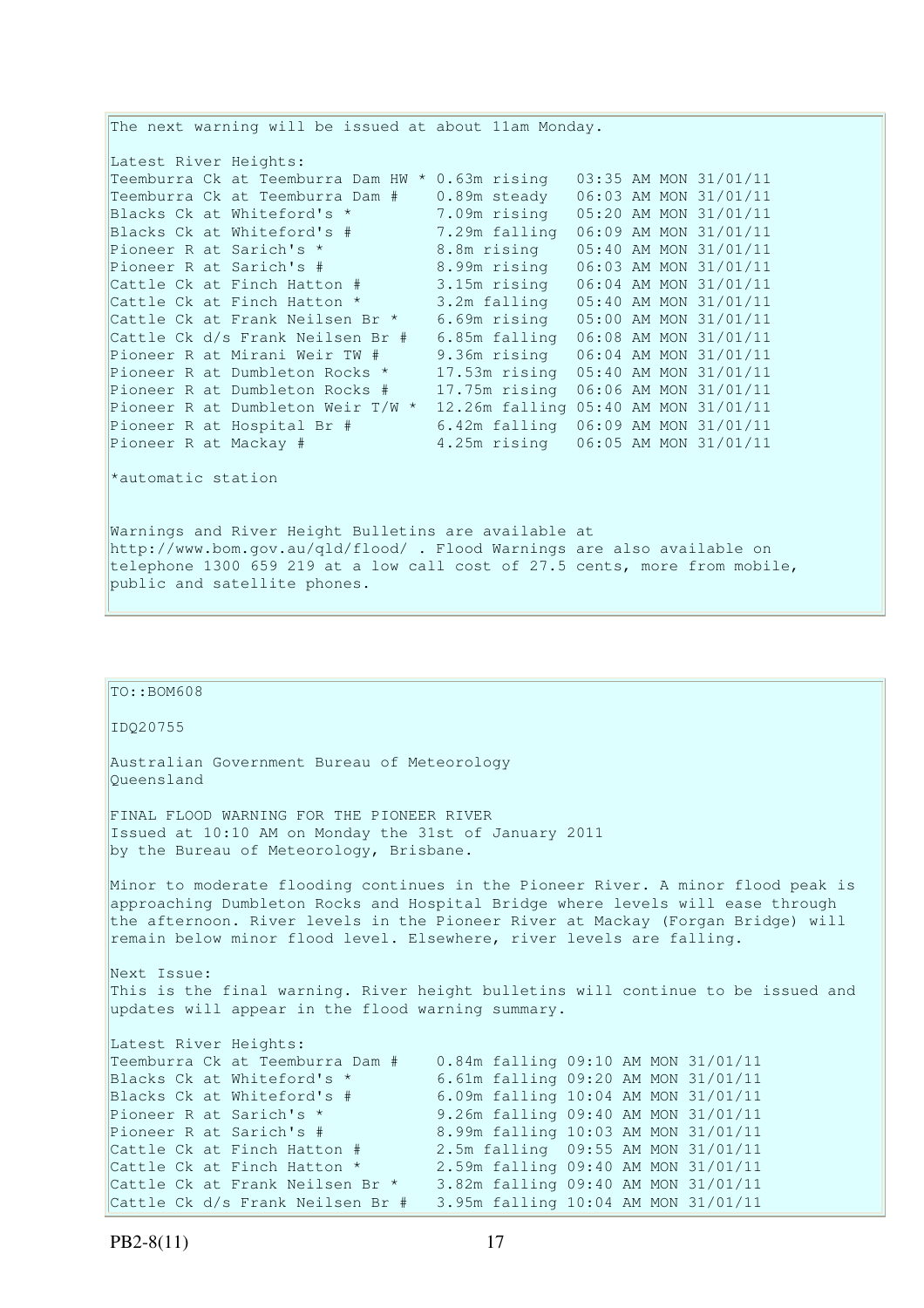The next warning will be issued at about 11am Monday. Latest River Heights: Teemburra Ck at Teemburra Dam HW \* 0.63m rising 03:35 AM MON 31/01/11 Teemburra Ck at Teemburra Dam  $\#$  0.89m steady 06:03 AM MON 31/01/11<br>Blacks Ck at Whiteford's  $\star$  7.09m rising 05:20 AM MON 31/01/11 7.09m rising 05:20 AM MON 31/01/11 Blacks Ck at Whiteford's # 7.29m falling 06:09 AM MON 31/01/11 Pioneer R at Sarich's \* 8.8m rising 05:40 AM MON 31/01/11<br>Pioneer R at Sarich's # 8.99m rising 06:03 AM MON 31/01/11 8.99m rising 06:03 AM MON 31/01/11 Cattle Ck at Finch Hatton # 3.15m rising 06:04 AM MON 31/01/11 Cattle Ck at Finch Hatton \* 3.2m falling 05:40 AM MON 31/01/11 Cattle Ck at Frank Neilsen Br \* 6.69m rising 05:00 AM MON 31/01/11 Cattle Ck d/s Frank Neilsen Br # 6.85m falling 06:08 AM MON 31/01/11 Pioneer R at Mirani Weir TW # 9.36m rising 06:04 AM MON 31/01/11 Pioneer R at Dumbleton Rocks \* 17.53m rising 05:40 AM MON 31/01/11 Pioneer R at Dumbleton Rocks # 17.75m rising 06:06 AM MON 31/01/11 Pioneer R at Dumbleton Weir  $T/W$  \* 12.26m falling 05:40 AM MON 31/01/11 Pioneer R at Hospital Br # 6.42m falling 06:09 AM MON 31/01/11 Pioneer R at Mackay # 4.25m rising 06:05 AM MON 31/01/11 \*automatic station Warnings and River Height Bulletins are available at http://www.bom.gov.au/qld/flood/ . Flood Warnings are also available on telephone 1300 659 219 at a low call cost of 27.5 cents, more from mobile, public and satellite phones.

| $TO: BOM608ID020755$                                                                                                                                                                                                                                                                                                                                                                                                                                                                                                                                                                                                                                                          |
|-------------------------------------------------------------------------------------------------------------------------------------------------------------------------------------------------------------------------------------------------------------------------------------------------------------------------------------------------------------------------------------------------------------------------------------------------------------------------------------------------------------------------------------------------------------------------------------------------------------------------------------------------------------------------------|
|                                                                                                                                                                                                                                                                                                                                                                                                                                                                                                                                                                                                                                                                               |
|                                                                                                                                                                                                                                                                                                                                                                                                                                                                                                                                                                                                                                                                               |
| Australian Government Bureau of Meteorology<br>Oueensland                                                                                                                                                                                                                                                                                                                                                                                                                                                                                                                                                                                                                     |
| FINAL FLOOD WARNING FOR THE PIONEER RIVER<br>Issued at 10:10 AM on Monday the 31st of January 2011<br>by the Bureau of Meteorology, Brisbane.                                                                                                                                                                                                                                                                                                                                                                                                                                                                                                                                 |
| Minor to moderate flooding continues in the Pioneer River. A minor flood peak is<br>approaching Dumbleton Rocks and Hospital Bridge where levels will ease through<br>the afternoon. River levels in the Pioneer River at Mackay (Forgan Bridge) will<br>remain below minor flood level. Elsewhere, river levels are falling.                                                                                                                                                                                                                                                                                                                                                 |
| Next Issue:<br>This is the final warning. River height bulletins will continue to be issued and<br>updates will appear in the flood warning summary.                                                                                                                                                                                                                                                                                                                                                                                                                                                                                                                          |
| Latest River Heights:<br>0.84m falling 09:10 AM MON 31/01/11<br>Teemburra Ck at Teemburra Dam #<br>6.61m falling 09:20 AM MON 31/01/11<br>Blacks Ck at Whiteford's *<br>6.09m falling 10:04 AM MON 31/01/11<br>Blacks Ck at Whiteford's #<br>9.26m falling 09:40 AM MON 31/01/11<br>Pioneer R at Sarich's *<br>8.99m falling 10:03 AM MON 31/01/11<br>Pioneer R at Sarich's #<br>2.5m falling 09:55 AM MON 31/01/11<br>Cattle Ck at Finch Hatton #<br>Cattle Ck at Finch Hatton *<br>2.59m falling 09:40 AM MON 31/01/11<br>3.82m falling 09:40 AM MON 31/01/11<br>Cattle Ck at Frank Neilsen Br *<br>3.95m falling 10:04 AM MON 31/01/11<br>Cattle Ck d/s Frank Neilsen Br # |